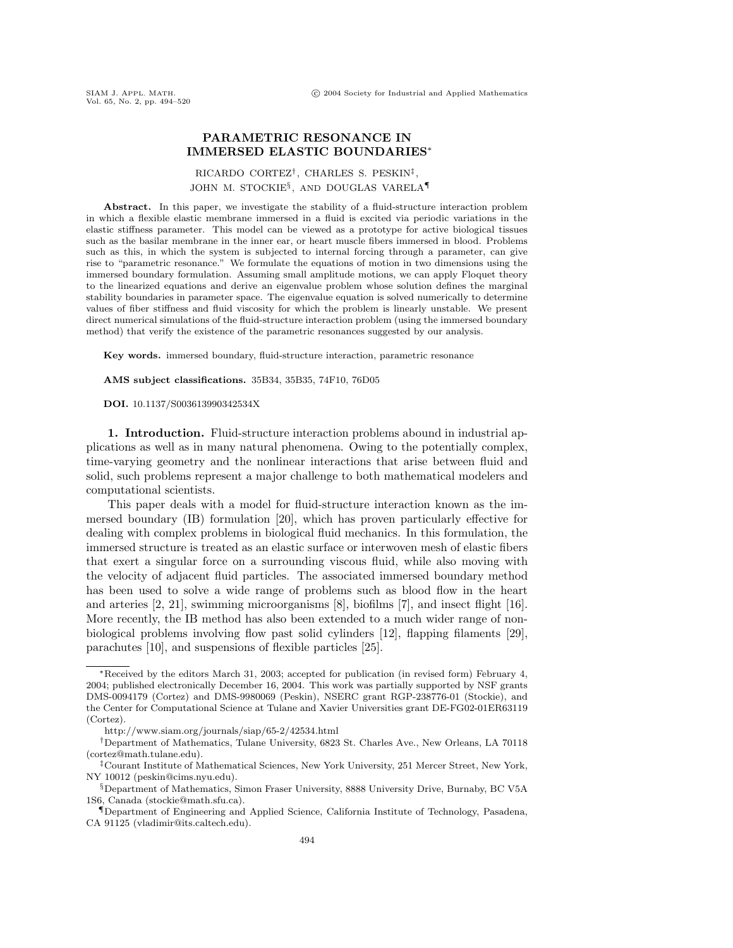## **PARAMETRIC RESONANCE IN IMMERSED ELASTIC BOUNDARIES**∗

## RICARDO CORTEZ†, CHARLES S. PESKIN‡, JOHN M. STOCKIE§, AND DOUGLAS VARELA¶

**Abstract.** In this paper, we investigate the stability of a fluid-structure interaction problem in which a flexible elastic membrane immersed in a fluid is excited via periodic variations in the elastic stiffness parameter. This model can be viewed as a prototype for active biological tissues such as the basilar membrane in the inner ear, or heart muscle fibers immersed in blood. Problems such as this, in which the system is subjected to internal forcing through a parameter, can give rise to "parametric resonance." We formulate the equations of motion in two dimensions using the immersed boundary formulation. Assuming small amplitude motions, we can apply Floquet theory to the linearized equations and derive an eigenvalue problem whose solution defines the marginal stability boundaries in parameter space. The eigenvalue equation is solved numerically to determine values of fiber stiffness and fluid viscosity for which the problem is linearly unstable. We present direct numerical simulations of the fluid-structure interaction problem (using the immersed boundary method) that verify the existence of the parametric resonances suggested by our analysis.

**Key words.** immersed boundary, fluid-structure interaction, parametric resonance

**AMS subject classifications.** 35B34, 35B35, 74F10, 76D05

**DOI.** 10.1137/S003613990342534X

**1. Introduction.** Fluid-structure interaction problems abound in industrial applications as well as in many natural phenomena. Owing to the potentially complex, time-varying geometry and the nonlinear interactions that arise between fluid and solid, such problems represent a major challenge to both mathematical modelers and computational scientists.

This paper deals with a model for fluid-structure interaction known as the immersed boundary (IB) formulation [20], which has proven particularly effective for dealing with complex problems in biological fluid mechanics. In this formulation, the immersed structure is treated as an elastic surface or interwoven mesh of elastic fibers that exert a singular force on a surrounding viscous fluid, while also moving with the velocity of adjacent fluid particles. The associated immersed boundary method has been used to solve a wide range of problems such as blood flow in the heart and arteries [2, 21], swimming microorganisms [8], biofilms [7], and insect flight [16]. More recently, the IB method has also been extended to a much wider range of nonbiological problems involving flow past solid cylinders [12], flapping filaments [29], parachutes [10], and suspensions of flexible particles [25].

<sup>∗</sup>Received by the editors March 31, 2003; accepted for publication (in revised form) February 4, 2004; published electronically December 16, 2004. This work was partially supported by NSF grants DMS-0094179 (Cortez) and DMS-9980069 (Peskin), NSERC grant RGP-238776-01 (Stockie), and the Center for Computational Science at Tulane and Xavier Universities grant DE-FG02-01ER63119 (Cortez).

http://www.siam.org/journals/siap/65-2/42534.html

<sup>†</sup>Department of Mathematics, Tulane University, 6823 St. Charles Ave., New Orleans, LA 70118 (cortez@math.tulane.edu).

<sup>‡</sup>Courant Institute of Mathematical Sciences, New York University, 251 Mercer Street, New York, NY 10012 (peskin@cims.nyu.edu).

<sup>§</sup>Department of Mathematics, Simon Fraser University, 8888 University Drive, Burnaby, BC V5A 1S6, Canada (stockie@math.sfu.ca).

<sup>¶</sup>Department of Engineering and Applied Science, California Institute of Technology, Pasadena, CA 91125 (vladimir@its.caltech.edu).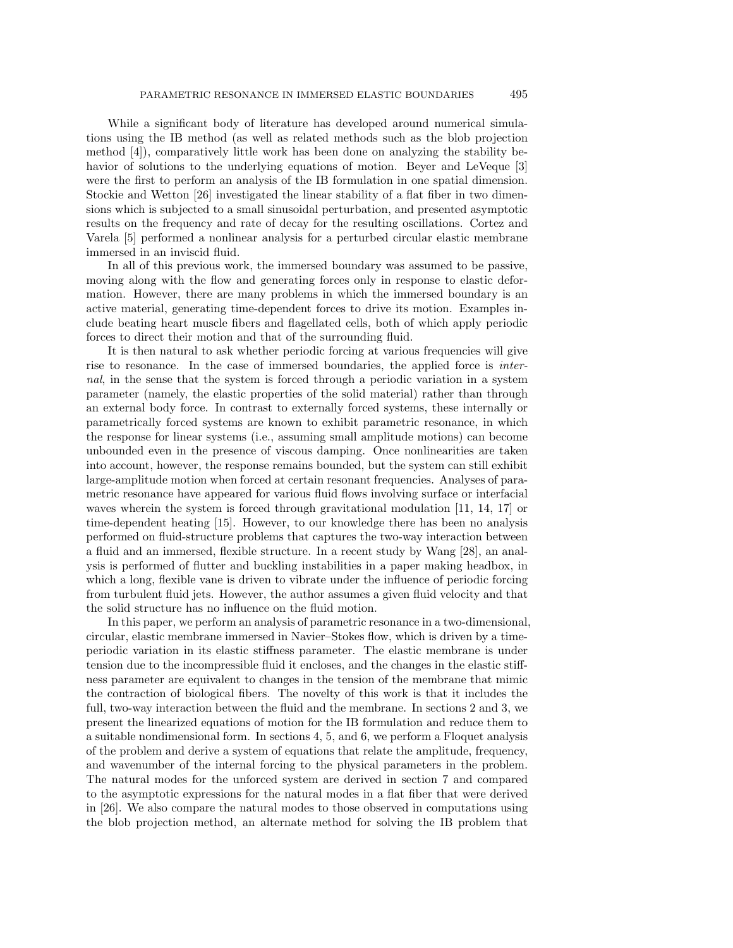While a significant body of literature has developed around numerical simulations using the IB method (as well as related methods such as the blob projection method [4]), comparatively little work has been done on analyzing the stability behavior of solutions to the underlying equations of motion. Beyer and LeVeque [3] were the first to perform an analysis of the IB formulation in one spatial dimension. Stockie and Wetton [26] investigated the linear stability of a flat fiber in two dimensions which is subjected to a small sinusoidal perturbation, and presented asymptotic results on the frequency and rate of decay for the resulting oscillations. Cortez and Varela [5] performed a nonlinear analysis for a perturbed circular elastic membrane immersed in an inviscid fluid.

In all of this previous work, the immersed boundary was assumed to be passive, moving along with the flow and generating forces only in response to elastic deformation. However, there are many problems in which the immersed boundary is an active material, generating time-dependent forces to drive its motion. Examples include beating heart muscle fibers and flagellated cells, both of which apply periodic forces to direct their motion and that of the surrounding fluid.

It is then natural to ask whether periodic forcing at various frequencies will give rise to resonance. In the case of immersed boundaries, the applied force is internal, in the sense that the system is forced through a periodic variation in a system parameter (namely, the elastic properties of the solid material) rather than through an external body force. In contrast to externally forced systems, these internally or parametrically forced systems are known to exhibit parametric resonance, in which the response for linear systems (i.e., assuming small amplitude motions) can become unbounded even in the presence of viscous damping. Once nonlinearities are taken into account, however, the response remains bounded, but the system can still exhibit large-amplitude motion when forced at certain resonant frequencies. Analyses of parametric resonance have appeared for various fluid flows involving surface or interfacial waves wherein the system is forced through gravitational modulation [11, 14, 17] or time-dependent heating [15]. However, to our knowledge there has been no analysis performed on fluid-structure problems that captures the two-way interaction between a fluid and an immersed, flexible structure. In a recent study by Wang [28], an analysis is performed of flutter and buckling instabilities in a paper making headbox, in which a long, flexible vane is driven to vibrate under the influence of periodic forcing from turbulent fluid jets. However, the author assumes a given fluid velocity and that the solid structure has no influence on the fluid motion.

In this paper, we perform an analysis of parametric resonance in a two-dimensional, circular, elastic membrane immersed in Navier–Stokes flow, which is driven by a timeperiodic variation in its elastic stiffness parameter. The elastic membrane is under tension due to the incompressible fluid it encloses, and the changes in the elastic stiffness parameter are equivalent to changes in the tension of the membrane that mimic the contraction of biological fibers. The novelty of this work is that it includes the full, two-way interaction between the fluid and the membrane. In sections 2 and 3, we present the linearized equations of motion for the IB formulation and reduce them to a suitable nondimensional form. In sections 4, 5, and 6, we perform a Floquet analysis of the problem and derive a system of equations that relate the amplitude, frequency, and wavenumber of the internal forcing to the physical parameters in the problem. The natural modes for the unforced system are derived in section 7 and compared to the asymptotic expressions for the natural modes in a flat fiber that were derived in [26]. We also compare the natural modes to those observed in computations using the blob projection method, an alternate method for solving the IB problem that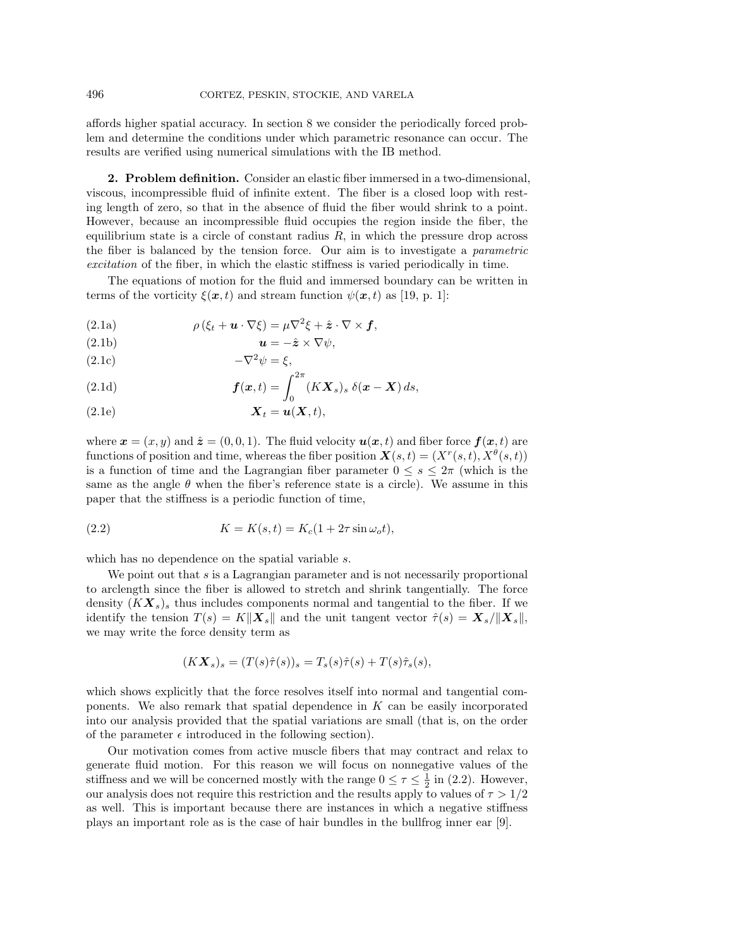affords higher spatial accuracy. In section 8 we consider the periodically forced problem and determine the conditions under which parametric resonance can occur. The results are verified using numerical simulations with the IB method.

**2. Problem definition.** Consider an elastic fiber immersed in a two-dimensional, viscous, incompressible fluid of infinite extent. The fiber is a closed loop with resting length of zero, so that in the absence of fluid the fiber would shrink to a point. However, because an incompressible fluid occupies the region inside the fiber, the equilibrium state is a circle of constant radius  $R$ , in which the pressure drop across the fiber is balanced by the tension force. Our aim is to investigate a parametric excitation of the fiber, in which the elastic stiffness is varied periodically in time.

The equations of motion for the fluid and immersed boundary can be written in terms of the vorticity  $\xi(\mathbf{x},t)$  and stream function  $\psi(\mathbf{x},t)$  as [19, p. 1]:

- (2.1a)  $\rho(\xi_t + \mathbf{u} \cdot \nabla \xi) = \mu \nabla^2 \xi + \hat{\mathbf{z}} \cdot \nabla \times \mathbf{f},$
- (2.1b)  $\mathbf{u} = -\hat{\mathbf{z}} \times \nabla \psi$ ,
- (2.1c)  $-\nabla^2 \psi = \xi$ ,

(2.1d) 
$$
\boldsymbol{f}(\boldsymbol{x},t) = \int_0^{2\pi} (K\boldsymbol{X}_s)_s \delta(\boldsymbol{x}-\boldsymbol{X}) ds,
$$

$$
(\text{2.1e}) \t\t \t\t \t\t \t\t \t\t \t\t \mathbf{X}_t = \mathbf{u}(\mathbf{X},t),
$$

where  $\mathbf{x} = (x, y)$  and  $\hat{\mathbf{z}} = (0, 0, 1)$ . The fluid velocity  $\mathbf{u}(\mathbf{x}, t)$  and fiber force  $\mathbf{f}(\mathbf{x}, t)$  are functions of position and time, whereas the fiber position  $\mathbf{X}(s,t)=(X^r(s,t), X^{\theta}(s,t))$ is a function of time and the Lagrangian fiber parameter  $0 \leq s \leq 2\pi$  (which is the same as the angle  $\theta$  when the fiber's reference state is a circle). We assume in this paper that the stiffness is a periodic function of time,

(2.2) 
$$
K = K(s,t) = K_c(1 + 2\tau \sin \omega_o t),
$$

which has no dependence on the spatial variable s.

We point out that s is a Lagrangian parameter and is not necessarily proportional to arclength since the fiber is allowed to stretch and shrink tangentially. The force density  $(KX<sub>s</sub>)<sub>s</sub>$  thus includes components normal and tangential to the fiber. If we identify the tension  $T(s) = K||\boldsymbol{X}_s||$  and the unit tangent vector  $\hat{\tau}(s) = \boldsymbol{X}_s/||\boldsymbol{X}_s||$ , we may write the force density term as

$$
(K\mathbf{X}_s)_s = (T(s)\hat{\tau}(s))_s = T_s(s)\hat{\tau}(s) + T(s)\hat{\tau}_s(s),
$$

which shows explicitly that the force resolves itself into normal and tangential components. We also remark that spatial dependence in K can be easily incorporated into our analysis provided that the spatial variations are small (that is, on the order of the parameter  $\epsilon$  introduced in the following section).

Our motivation comes from active muscle fibers that may contract and relax to generate fluid motion. For this reason we will focus on nonnegative values of the stiffness and we will be concerned mostly with the range  $0 \le \tau \le \frac{1}{2}$  in (2.2). However, our analysis does not require this restriction and the results apply to values of  $\tau > 1/2$ as well. This is important because there are instances in which a negative stiffness plays an important role as is the case of hair bundles in the bullfrog inner ear [9].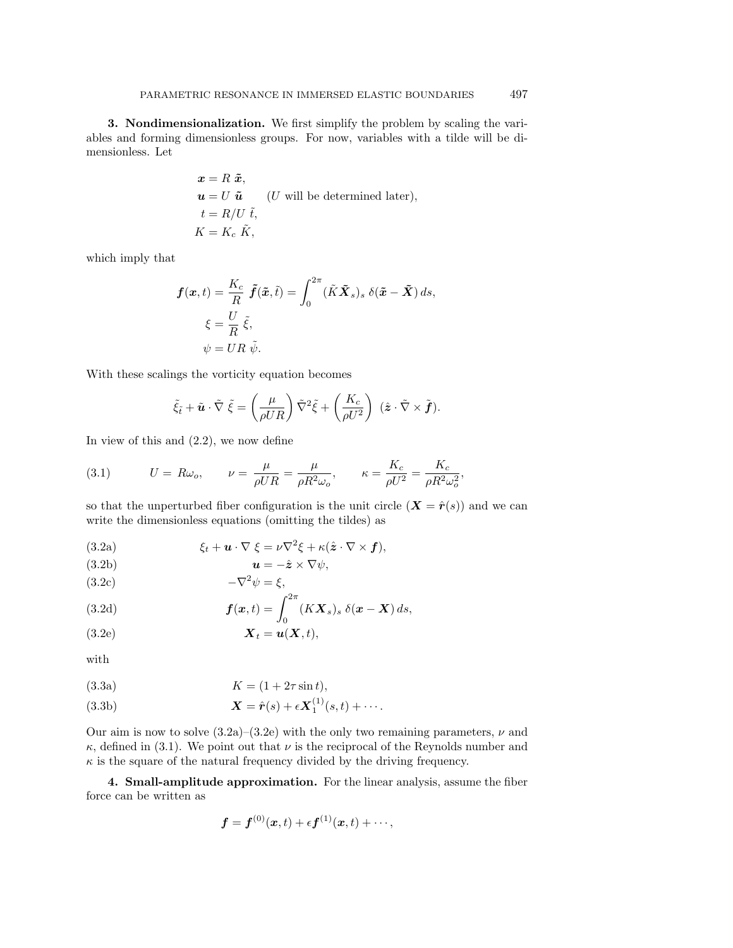**3. Nondimensionalization.** We first simplify the problem by scaling the variables and forming dimensionless groups. For now, variables with a tilde will be dimensionless. Let

$$
\mathbf{x} = R \tilde{\mathbf{x}},
$$
  
\n
$$
\mathbf{u} = U \tilde{\mathbf{u}} \qquad (U \text{ will be determined later}),
$$
  
\n
$$
t = R/U \tilde{t},
$$
  
\n
$$
K = K_c \tilde{K},
$$

which imply that

$$
\mathbf{f}(\mathbf{x},t) = \frac{K_c}{R} \tilde{\mathbf{f}}(\tilde{\mathbf{x}},\tilde{t}) = \int_0^{2\pi} (\tilde{K}\tilde{\mathbf{X}}_s)_s \delta(\tilde{\mathbf{x}} - \tilde{\mathbf{X}}) ds,
$$
  

$$
\xi = \frac{U}{R} \tilde{\xi},
$$
  

$$
\psi = UR \tilde{\psi}.
$$

With these scalings the vorticity equation becomes

$$
\tilde{\xi}_{\tilde{t}} + \tilde{\boldsymbol{u}} \cdot \tilde{\nabla} \tilde{\xi} = \left(\frac{\mu}{\rho U R}\right) \tilde{\nabla}^2 \tilde{\xi} + \left(\frac{K_c}{\rho U^2}\right) (\hat{\boldsymbol{z}} \cdot \tilde{\nabla} \times \tilde{\boldsymbol{f}}).
$$

In view of this and  $(2.2)$ , we now define

(3.1) 
$$
U = R\omega_o, \qquad \nu = \frac{\mu}{\rho UR} = \frac{\mu}{\rho R^2 \omega_o}, \qquad \kappa = \frac{K_c}{\rho U^2} = \frac{K_c}{\rho R^2 \omega_o^2},
$$

so that the unperturbed fiber configuration is the unit circle  $(X = \hat{r}(s))$  and we can write the dimensionless equations (omitting the tildes) as

(3.2a) 
$$
\xi_t + \mathbf{u} \cdot \nabla \xi = \nu \nabla^2 \xi + \kappa (\hat{\mathbf{z}} \cdot \nabla \times \mathbf{f}),
$$

(3.2b) 
$$
\mathbf{u} = -\hat{\mathbf{z}} \times \nabla \psi,
$$

$$
(3.2c)\qquad \qquad -\nabla^2 \psi = \xi,
$$

(3.2d) 
$$
\boldsymbol{f}(\boldsymbol{x},t) = \int_0^{2\pi} (K\boldsymbol{X}_s)_s \ \delta(\boldsymbol{x}-\boldsymbol{X}) \, ds,
$$

$$
(\text{3.2e}) \t\t \t\t X_t = \boldsymbol{u}(\boldsymbol{X},t),
$$

with

$$
(3.3a) \t\t K = (1 + 2\tau \sin t),
$$

(3.3b) 
$$
\mathbf{X} = \hat{\mathbf{r}}(s) + \epsilon \mathbf{X}_1^{(1)}(s,t) + \cdots.
$$

Our aim is now to solve  $(3.2a)$ – $(3.2e)$  with the only two remaining parameters,  $\nu$  and  $\kappa$ , defined in (3.1). We point out that  $\nu$  is the reciprocal of the Reynolds number and  $\kappa$  is the square of the natural frequency divided by the driving frequency.

**4. Small-amplitude approximation.** For the linear analysis, assume the fiber force can be written as

$$
\boldsymbol{f} = \boldsymbol{f}^{(0)}(\boldsymbol{x},t) + \epsilon \boldsymbol{f}^{(1)}(\boldsymbol{x},t) + \cdots,
$$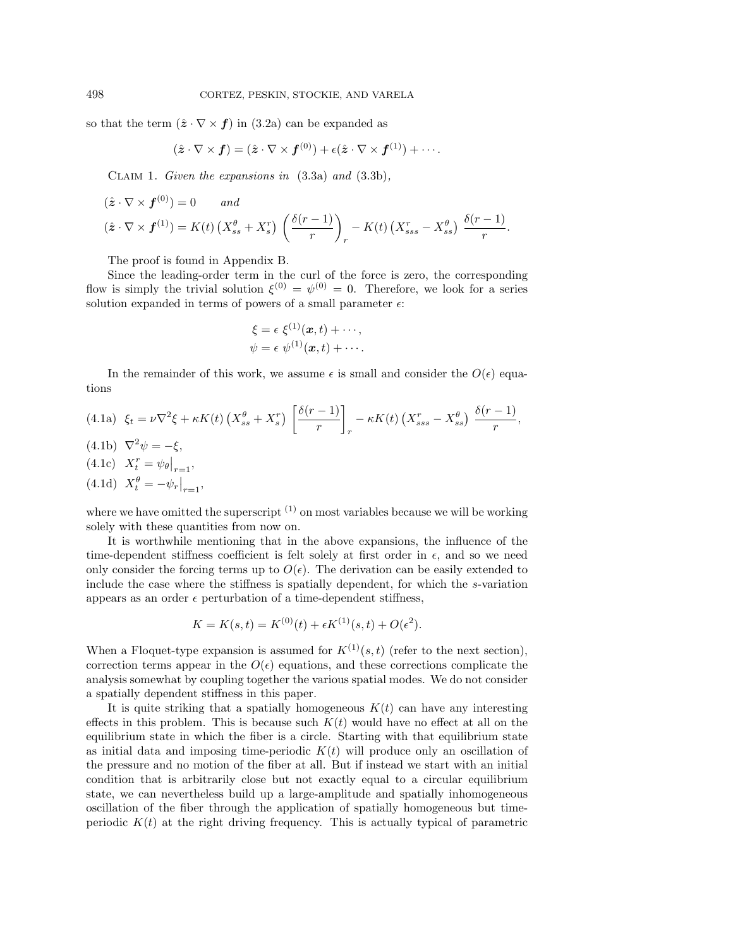so that the term  $(\hat{z} \cdot \nabla \times f)$  in (3.2a) can be expanded as

$$
(\hat{\boldsymbol{z}}\cdot\nabla\times\boldsymbol{f})=(\hat{\boldsymbol{z}}\cdot\nabla\times\boldsymbol{f}^{(0)})+\epsilon(\hat{\boldsymbol{z}}\cdot\nabla\times\boldsymbol{f}^{(1)})+\cdots.
$$

Claim 1. Given the expansions in (3.3a) and (3.3b),

$$
(\hat{\mathbf{z}} \cdot \nabla \times \mathbf{f}^{(0)}) = 0 \quad \text{and}
$$
  

$$
(\hat{\mathbf{z}} \cdot \nabla \times \mathbf{f}^{(1)}) = K(t) \left( X_{ss}^{\theta} + X_{s}^{r} \right) \left( \frac{\delta(r-1)}{r} \right)_{r} - K(t) \left( X_{sss}^{r} - X_{ss}^{\theta} \right) \frac{\delta(r-1)}{r}.
$$

The proof is found in Appendix B.

Since the leading-order term in the curl of the force is zero, the corresponding flow is simply the trivial solution  $\xi^{(0)} = \psi^{(0)} = 0$ . Therefore, we look for a series solution expanded in terms of powers of a small parameter  $\epsilon$ :

$$
\xi = \epsilon \xi^{(1)}(\boldsymbol{x}, t) + \cdots, \n\psi = \epsilon \psi^{(1)}(\boldsymbol{x}, t) + \cdots.
$$

In the remainder of this work, we assume  $\epsilon$  is small and consider the  $O(\epsilon)$  equations

$$
\begin{aligned} \text{(4.1a)} \quad & \xi_t = \nu \nabla^2 \xi + \kappa K(t) \left( X_{ss}^\theta + X_s^r \right) \left[ \frac{\delta(r-1)}{r} \right]_r - \kappa K(t) \left( X_{sss}^r - X_{ss}^\theta \right) \frac{\delta(r-1)}{r}, \\ \text{(4.1b)} \quad & \nabla^2 \psi = -\xi, \\ \text{(4.1c)} \quad & X_t^r = \psi_\theta \big|_{r=1}, \\ \text{(4.1d)} \quad & X_t^\theta = -\psi_r \big|_{r=1}, \end{aligned}
$$

where we have omitted the superscript  $(1)$  on most variables because we will be working solely with these quantities from now on.

It is worthwhile mentioning that in the above expansions, the influence of the time-dependent stiffness coefficient is felt solely at first order in  $\epsilon$ , and so we need only consider the forcing terms up to  $O(\epsilon)$ . The derivation can be easily extended to include the case where the stiffness is spatially dependent, for which the s-variation appears as an order  $\epsilon$  perturbation of a time-dependent stiffness,

$$
K = K(s, t) = K^{(0)}(t) + \epsilon K^{(1)}(s, t) + O(\epsilon^2).
$$

When a Floquet-type expansion is assumed for  $K^{(1)}(s,t)$  (refer to the next section), correction terms appear in the  $O(\epsilon)$  equations, and these corrections complicate the analysis somewhat by coupling together the various spatial modes. We do not consider a spatially dependent stiffness in this paper.

It is quite striking that a spatially homogeneous  $K(t)$  can have any interesting effects in this problem. This is because such  $K(t)$  would have no effect at all on the equilibrium state in which the fiber is a circle. Starting with that equilibrium state as initial data and imposing time-periodic  $K(t)$  will produce only an oscillation of the pressure and no motion of the fiber at all. But if instead we start with an initial condition that is arbitrarily close but not exactly equal to a circular equilibrium state, we can nevertheless build up a large-amplitude and spatially inhomogeneous oscillation of the fiber through the application of spatially homogeneous but timeperiodic  $K(t)$  at the right driving frequency. This is actually typical of parametric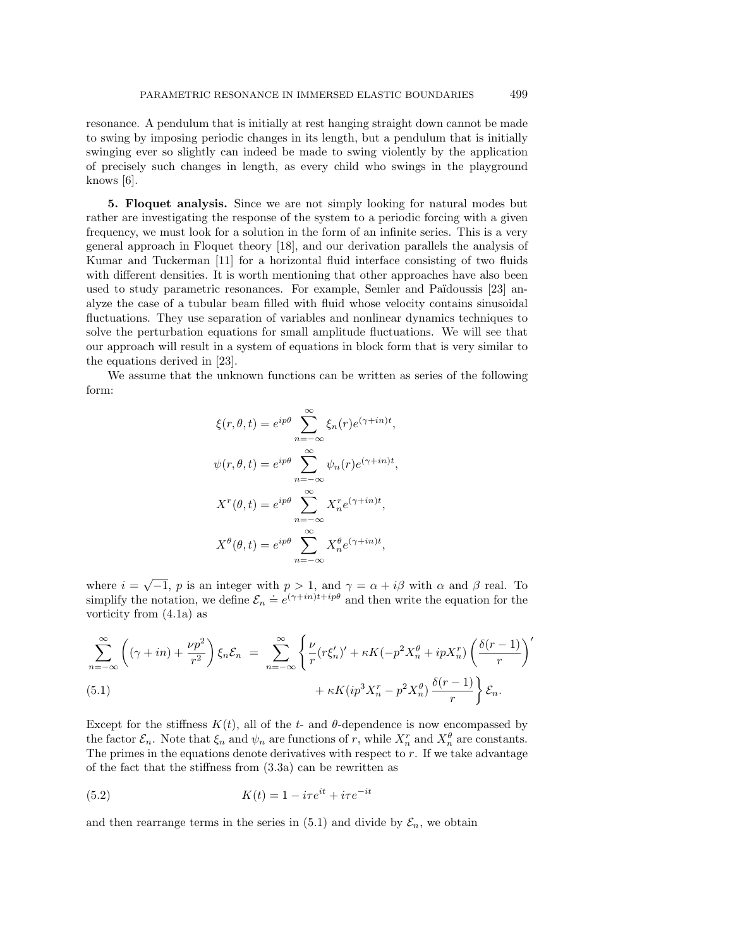resonance. A pendulum that is initially at rest hanging straight down cannot be made to swing by imposing periodic changes in its length, but a pendulum that is initially swinging ever so slightly can indeed be made to swing violently by the application of precisely such changes in length, as every child who swings in the playground knows [6].

**5. Floquet analysis.** Since we are not simply looking for natural modes but rather are investigating the response of the system to a periodic forcing with a given frequency, we must look for a solution in the form of an infinite series. This is a very general approach in Floquet theory [18], and our derivation parallels the analysis of Kumar and Tuckerman [11] for a horizontal fluid interface consisting of two fluids with different densities. It is worth mentioning that other approaches have also been used to study parametric resonances. For example, Semler and Païdoussis [23] analyze the case of a tubular beam filled with fluid whose velocity contains sinusoidal fluctuations. They use separation of variables and nonlinear dynamics techniques to solve the perturbation equations for small amplitude fluctuations. We will see that our approach will result in a system of equations in block form that is very similar to the equations derived in [23].

We assume that the unknown functions can be written as series of the following form:

$$
\xi(r,\theta,t) = e^{ip\theta} \sum_{n=-\infty}^{\infty} \xi_n(r)e^{(\gamma+in)t},
$$

$$
\psi(r,\theta,t) = e^{ip\theta} \sum_{n=-\infty}^{\infty} \psi_n(r)e^{(\gamma+in)t},
$$

$$
X^r(\theta,t) = e^{ip\theta} \sum_{n=-\infty}^{\infty} X_n^r e^{(\gamma+in)t},
$$

$$
X^{\theta}(\theta,t) = e^{ip\theta} \sum_{n=-\infty}^{\infty} X_n^{\theta} e^{(\gamma+in)t},
$$

where  $i = \sqrt{-1}$ , p is an integer with  $p > 1$ , and  $\gamma = \alpha + i\beta$  with  $\alpha$  and  $\beta$  real. To simplify the notation, we define  $\mathcal{E}_n \doteq e^{(\gamma + in)t + ip\theta}$  and then write the equation for the vorticity from (4.1a) as

$$
\sum_{n=-\infty}^{\infty} \left( (\gamma + in) + \frac{\nu p^2}{r^2} \right) \xi_n \mathcal{E}_n = \sum_{n=-\infty}^{\infty} \left\{ \frac{\nu}{r} (r \xi_n')' + \kappa K (-p^2 X_n^{\theta} + ip X_n^r) \left( \frac{\delta(r-1)}{r} \right)' + \kappa K (ip^3 X_n^r - p^2 X_n^{\theta}) \frac{\delta(r-1)}{r} \right\} \mathcal{E}_n.
$$
\n(5.1)

Except for the stiffness  $K(t)$ , all of the t- and  $\theta$ -dependence is now encompassed by the factor  $\mathcal{E}_n$ . Note that  $\xi_n$  and  $\psi_n$  are functions of r, while  $X_n^r$  and  $X_n^{\theta}$  are constants. The primes in the equations denote derivatives with respect to  $r$ . If we take advantage of the fact that the stiffness from (3.3a) can be rewritten as

(5.2) 
$$
K(t) = 1 - i\tau e^{it} + i\tau e^{-it}
$$

and then rearrange terms in the series in (5.1) and divide by  $\mathcal{E}_n$ , we obtain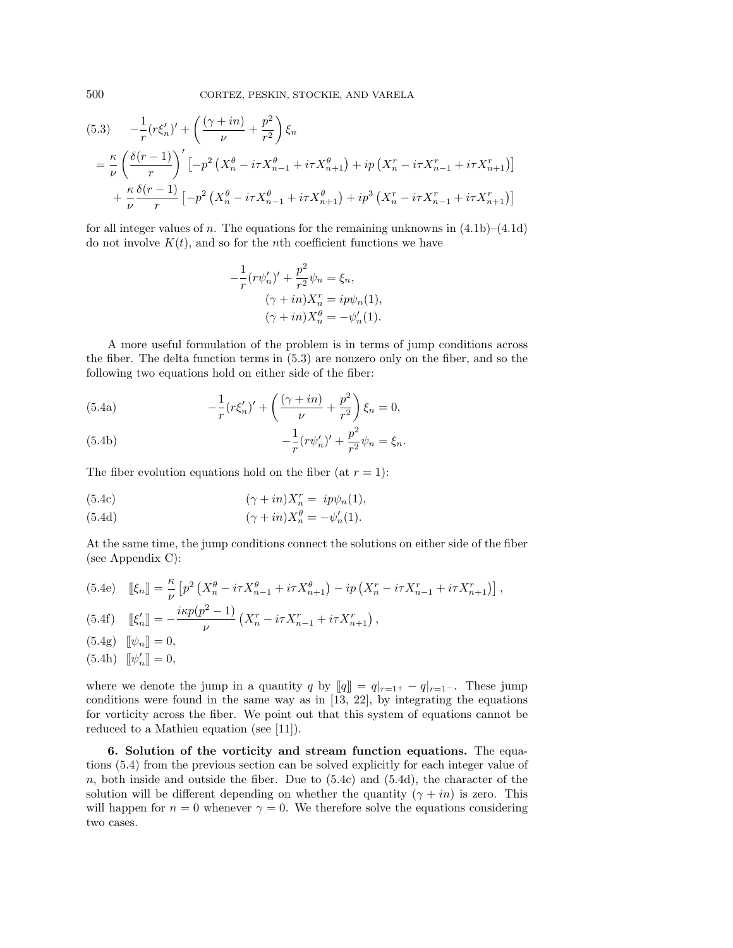500 CORTEZ, PESKIN, STOCKIE, AND VARELA

$$
(5.3) \quad -\frac{1}{r}(r\xi_n')' + \left(\frac{(\gamma + in)}{\nu} + \frac{p^2}{r^2}\right)\xi_n
$$
\n
$$
= \frac{\kappa}{\nu} \left(\frac{\delta(r-1)}{r}\right)' \left[-p^2 \left(X_n^{\theta} - i\tau X_{n-1}^{\theta} + i\tau X_{n+1}^{\theta}\right) + ip \left(X_n^r - i\tau X_{n-1}^r + i\tau X_{n+1}^r\right)\right]
$$
\n
$$
+ \frac{\kappa}{\nu} \frac{\delta(r-1)}{r} \left[-p^2 \left(X_n^{\theta} - i\tau X_{n-1}^{\theta} + i\tau X_{n+1}^{\theta}\right) + ip^3 \left(X_n^r - i\tau X_{n-1}^r + i\tau X_{n+1}^r\right)\right]
$$

for all integer values of n. The equations for the remaining unknowns in  $(4.1b)-(4.1d)$ do not involve  $K(t)$ , and so for the *n*th coefficient functions we have

$$
-\frac{1}{r}(r\psi_n')' + \frac{p^2}{r^2}\psi_n = \xi_n,
$$
  

$$
(\gamma + in)X_n^r = ip\psi_n(1),
$$
  

$$
(\gamma + in)X_n^{\theta} = -\psi_n'(1).
$$

A more useful formulation of the problem is in terms of jump conditions across the fiber. The delta function terms in (5.3) are nonzero only on the fiber, and so the following two equations hold on either side of the fiber:

(5.4a) 
$$
-\frac{1}{r}(r\xi_n')' + \left(\frac{(\gamma + in)}{\nu} + \frac{p^2}{r^2}\right)\xi_n = 0,
$$

(5.4b) 
$$
-\frac{1}{r}(r\psi_n')' + \frac{p^2}{r^2}\psi_n = \xi_n.
$$

The fiber evolution equations hold on the fiber (at  $r = 1$ ):

(5.4c) 
$$
(\gamma + in)X_n^r = ip\psi_n(1),
$$

(5.4d) 
$$
(\gamma + in)X_n^{\theta} = -\psi_n'(1).
$$

At the same time, the jump conditions connect the solutions on either side of the fiber (see Appendix C):

(5.4e) 
$$
\[\![\xi_n]\!] = \frac{\kappa}{\nu} \left[ p^2 \left( X_n^{\theta} - i\tau X_{n-1}^{\theta} + i\tau X_{n+1}^{\theta} \right) - ip \left( X_n^r - i\tau X_{n-1}^r + i\tau X_{n+1}^r \right) \right],
$$
  
(5.4f) 
$$
\[\![\xi'_n]\!] = -\frac{i\kappa p(p^2 - 1)}{\nu} \left( X_n^r - i\tau X_{n-1}^r + i\tau X_{n+1}^r \right),
$$
  
(5.4g) 
$$
\[\![\psi_n]\!] = 0,
$$
  
(5.4h) 
$$
\[\![\psi'_n]\!] = 0,
$$

where we denote the jump in a quantity q by  $[[q] = q_{r=1^+} - q_{r=1^-}$ . These jump conditions were found in the same way as in [13, 22], by integrating the equations for vorticity across the fiber. We point out that this system of equations cannot be reduced to a Mathieu equation (see [11]).

**6. Solution of the vorticity and stream function equations.** The equations (5.4) from the previous section can be solved explicitly for each integer value of n, both inside and outside the fiber. Due to  $(5.4c)$  and  $(5.4d)$ , the character of the solution will be different depending on whether the quantity  $(\gamma + in)$  is zero. This will happen for  $n = 0$  whenever  $\gamma = 0$ . We therefore solve the equations considering two cases.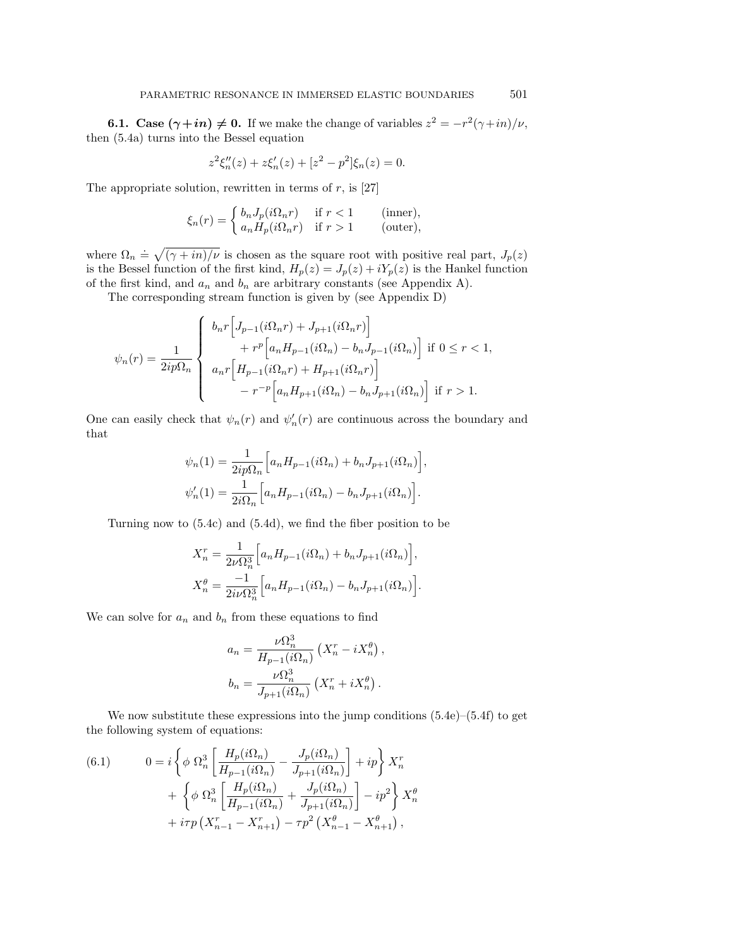**6.1.** Case  $(\gamma + in) \neq 0$ . If we make the change of variables  $z^2 = -r^2(\gamma + in)/\nu$ , then (5.4a) turns into the Bessel equation

$$
z^{2}\xi_{n}''(z) + z\xi_{n}'(z) + [z^{2} - p^{2}]\xi_{n}(z) = 0.
$$

The appropriate solution, rewritten in terms of  $r$ , is [27]

$$
\xi_n(r) = \begin{cases} b_n J_p(i\Omega_n r) & \text{if } r < 1 \\ a_n H_p(i\Omega_n r) & \text{if } r > 1 \end{cases}
$$
 (inner), (outer),

where  $\Omega_n \doteq \sqrt{(\gamma + in)/\nu}$  is chosen as the square root with positive real part,  $J_p(z)$ is the Bessel function of the first kind,  $H_p(z) = J_p(z) + iY_p(z)$  is the Hankel function of the first kind, and  $a_n$  and  $b_n$  are arbitrary constants (see Appendix A).

The corresponding stream function is given by (see Appendix D)

$$
\psi_n(r) = \frac{1}{2ip\Omega_n} \begin{cases} b_n r \Big[ J_{p-1}(i\Omega_n r) + J_{p+1}(i\Omega_n r) \Big] \\ + r^p \Big[ a_n H_{p-1}(i\Omega_n) - b_n J_{p-1}(i\Omega_n) \Big] & \text{if } 0 \le r < 1, \\ a_n r \Big[ H_{p-1}(i\Omega_n r) + H_{p+1}(i\Omega_n r) \Big] \\ - r^{-p} \Big[ a_n H_{p+1}(i\Omega_n) - b_n J_{p+1}(i\Omega_n) \Big] & \text{if } r > 1. \end{cases}
$$

One can easily check that  $\psi_n(r)$  and  $\psi'_n(r)$  are continuous across the boundary and that

$$
\psi_n(1) = \frac{1}{2ip\Omega_n} \Big[ a_n H_{p-1}(i\Omega_n) + b_n J_{p+1}(i\Omega_n) \Big],
$$
  

$$
\psi'_n(1) = \frac{1}{2i\Omega_n} \Big[ a_n H_{p-1}(i\Omega_n) - b_n J_{p+1}(i\Omega_n) \Big].
$$

Turning now to (5.4c) and (5.4d), we find the fiber position to be

$$
X_n^r = \frac{1}{2\nu\Omega_n^3} \Big[ a_n H_{p-1}(i\Omega_n) + b_n J_{p+1}(i\Omega_n) \Big],
$$
  

$$
X_n^{\theta} = \frac{-1}{2i\nu\Omega_n^3} \Big[ a_n H_{p-1}(i\Omega_n) - b_n J_{p+1}(i\Omega_n) \Big].
$$

We can solve for  $a_n$  and  $b_n$  from these equations to find

$$
a_n = \frac{\nu \Omega_n^3}{H_{p-1}(i\Omega_n)} \left(X_n^r - iX_n^{\theta}\right),
$$
  

$$
b_n = \frac{\nu \Omega_n^3}{J_{p+1}(i\Omega_n)} \left(X_n^r + iX_n^{\theta}\right).
$$

We now substitute these expressions into the jump conditions  $(5.4e)$ – $(5.4f)$  to get the following system of equations:

(6.1) 
$$
0 = i \left\{ \phi \ \Omega_n^3 \left[ \frac{H_p(i\Omega_n)}{H_{p-1}(i\Omega_n)} - \frac{J_p(i\Omega_n)}{J_{p+1}(i\Omega_n)} \right] + ip \right\} X_n^r + \left\{ \phi \ \Omega_n^3 \left[ \frac{H_p(i\Omega_n)}{H_{p-1}(i\Omega_n)} + \frac{J_p(i\Omega_n)}{J_{p+1}(i\Omega_n)} \right] - ip^2 \right\} X_n^{\theta} + i\tau p \left( X_{n-1}^r - X_{n+1}^r \right) - \tau p^2 \left( X_{n-1}^{\theta} - X_{n+1}^{\theta} \right),
$$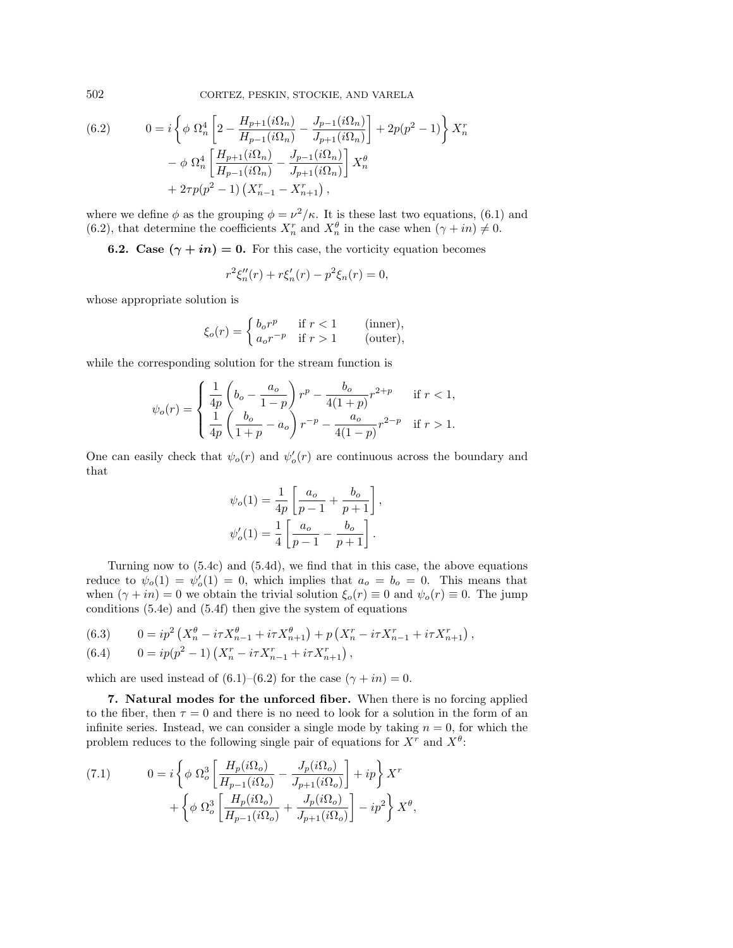502 CORTEZ, PESKIN, STOCKIE, AND VARELA

(6.2) 
$$
0 = i \left\{ \phi \ \Omega_n^4 \left[ 2 - \frac{H_{p+1}(i\Omega_n)}{H_{p-1}(i\Omega_n)} - \frac{J_{p-1}(i\Omega_n)}{J_{p+1}(i\Omega_n)} \right] + 2p(p^2 - 1) \right\} X_n^r - \phi \ \Omega_n^4 \left[ \frac{H_{p+1}(i\Omega_n)}{H_{p-1}(i\Omega_n)} - \frac{J_{p-1}(i\Omega_n)}{J_{p+1}(i\Omega_n)} \right] X_n^{\theta} + 2\tau p(p^2 - 1) \left( X_{n-1}^r - X_{n+1}^r \right),
$$

where we define  $\phi$  as the grouping  $\phi = \nu^2/\kappa$ . It is these last two equations, (6.1) and (6.2), that determine the coefficients  $X_n^r$  and  $X_n^{\theta}$  in the case when  $(\gamma + in) \neq 0$ .

**6.2. Case**  $(\gamma + in) = 0$ . For this case, the vorticity equation becomes

$$
r^{2}\xi_{n}''(r) + r\xi_{n}'(r) - p^{2}\xi_{n}(r) = 0,
$$

whose appropriate solution is

$$
\xi_o(r) = \begin{cases} b_o r^p & \text{if } r < 1 \\ a_o r^{-p} & \text{if } r > 1 \end{cases}
$$
 (inner), (outer),

while the corresponding solution for the stream function is

$$
\psi_o(r) = \begin{cases} \frac{1}{4p} \left( b_o - \frac{a_o}{1-p} \right) r^p - \frac{b_o}{4(1+p)} r^{2+p} & \text{if } r < 1, \\ \frac{1}{4p} \left( \frac{b_o}{1+p} - a_o \right) r^{-p} - \frac{a_o}{4(1-p)} r^{2-p} & \text{if } r > 1. \end{cases}
$$

One can easily check that  $\psi_o(r)$  and  $\psi'_o(r)$  are continuous across the boundary and that

$$
\psi_o(1) = \frac{1}{4p} \left[ \frac{a_o}{p-1} + \frac{b_o}{p+1} \right],
$$
  

$$
\psi'_o(1) = \frac{1}{4} \left[ \frac{a_o}{p-1} - \frac{b_o}{p+1} \right].
$$

Turning now to (5.4c) and (5.4d), we find that in this case, the above equations reduce to  $\psi_o(1) = \psi'_o(1) = 0$ , which implies that  $a_o = b_o = 0$ . This means that when  $(\gamma + in) = 0$  we obtain the trivial solution  $\xi_o(r) \equiv 0$  and  $\psi_o(r) \equiv 0$ . The jump conditions (5.4e) and (5.4f) then give the system of equations

(6.3) 
$$
0 = ip^2 \left( X_n^{\theta} - i\tau X_{n-1}^{\theta} + i\tau X_{n+1}^{\theta} \right) + p \left( X_n^r - i\tau X_{n-1}^r + i\tau X_{n+1}^r \right),
$$

(6.4) 
$$
0 = ip(p^2 - 1) (X_n^r - i\tau X_{n-1}^r + i\tau X_{n+1}^r),
$$

which are used instead of (6.1)–(6.2) for the case  $(\gamma + in) = 0$ .

**7. Natural modes for the unforced fiber.** When there is no forcing applied to the fiber, then  $\tau = 0$  and there is no need to look for a solution in the form of an infinite series. Instead, we can consider a single mode by taking  $n = 0$ , for which the problem reduces to the following single pair of equations for  $X^r$  and  $X^{\theta}$ :

(7.1) 
$$
0 = i \left\{ \phi \ \Omega_o^3 \left[ \frac{H_p(i\Omega_o)}{H_{p-1}(i\Omega_o)} - \frac{J_p(i\Omega_o)}{J_{p+1}(i\Omega_o)} \right] + ip \right\} X^r + \left\{ \phi \ \Omega_o^3 \left[ \frac{H_p(i\Omega_o)}{H_{p-1}(i\Omega_o)} + \frac{J_p(i\Omega_o)}{J_{p+1}(i\Omega_o)} \right] - ip^2 \right\} X^{\theta},
$$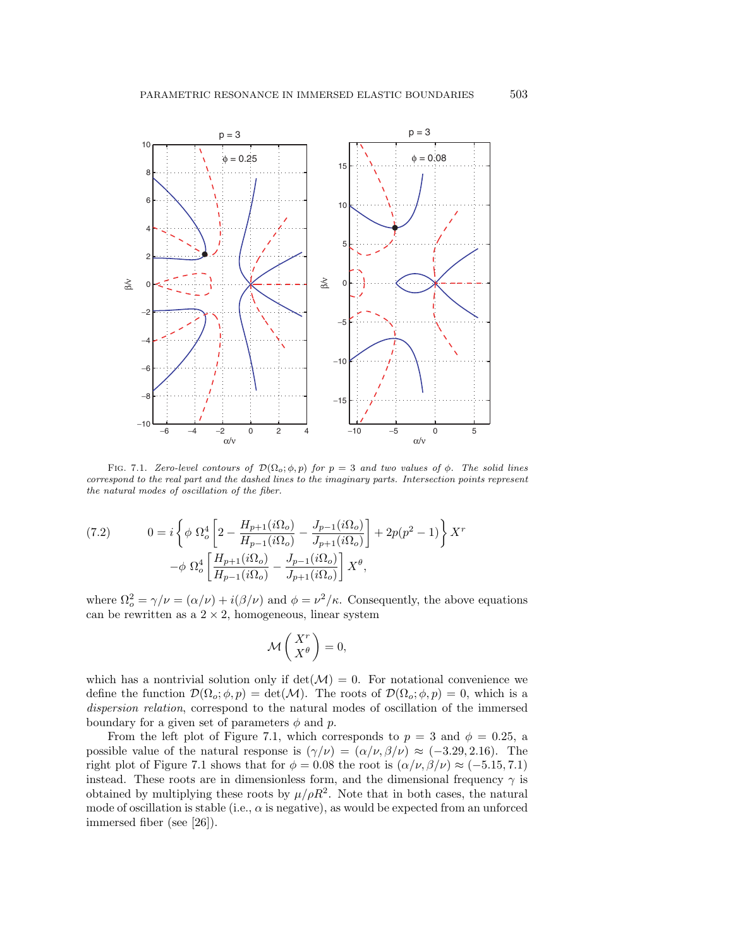

FIG. 7.1. Zero-level contours of  $\mathcal{D}(\Omega_o; \phi, p)$  for  $p = 3$  and two values of  $\phi$ . The solid lines correspond to the real part and the dashed lines to the imaginary parts. Intersection points represent the natural modes of oscillation of the fiber.

(7.2) 
$$
0 = i \left\{ \phi \ \Omega_o^4 \left[ 2 - \frac{H_{p+1}(i\Omega_o)}{H_{p-1}(i\Omega_o)} - \frac{J_{p-1}(i\Omega_o)}{J_{p+1}(i\Omega_o)} \right] + 2p(p^2 - 1) \right\} X^r
$$

$$
- \phi \ \Omega_o^4 \left[ \frac{H_{p+1}(i\Omega_o)}{H_{p-1}(i\Omega_o)} - \frac{J_{p-1}(i\Omega_o)}{J_{p+1}(i\Omega_o)} \right] X^\theta,
$$

where  $\Omega_o^2 = \gamma/\nu = (\alpha/\nu) + i(\beta/\nu)$  and  $\phi = \nu^2/\kappa$ . Consequently, the above equations can be rewritten as a  $2 \times 2$ , homogeneous, linear system

$$
\mathcal{M}\left(\frac{X^r}{X^{\theta}}\right) = 0,
$$

which has a nontrivial solution only if  $det(\mathcal{M}) = 0$ . For notational convenience we define the function  $\mathcal{D}(\Omega_o; \phi, p) = \det(\mathcal{M})$ . The roots of  $\mathcal{D}(\Omega_o; \phi, p) = 0$ , which is a dispersion relation, correspond to the natural modes of oscillation of the immersed boundary for a given set of parameters  $\phi$  and p.

From the left plot of Figure 7.1, which corresponds to  $p = 3$  and  $\phi = 0.25$ , a possible value of the natural response is  $(\gamma/\nu)=(\alpha/\nu, \beta/\nu) \approx (-3.29, 2.16)$ . The right plot of Figure 7.1 shows that for  $\phi = 0.08$  the root is  $(\alpha/\nu, \beta/\nu) \approx (-5.15, 7.1)$ instead. These roots are in dimensionless form, and the dimensional frequency  $\gamma$  is obtained by multiplying these roots by  $\mu/\rho R^2$ . Note that in both cases, the natural mode of oscillation is stable (i.e.,  $\alpha$  is negative), as would be expected from an unforced immersed fiber (see [26]).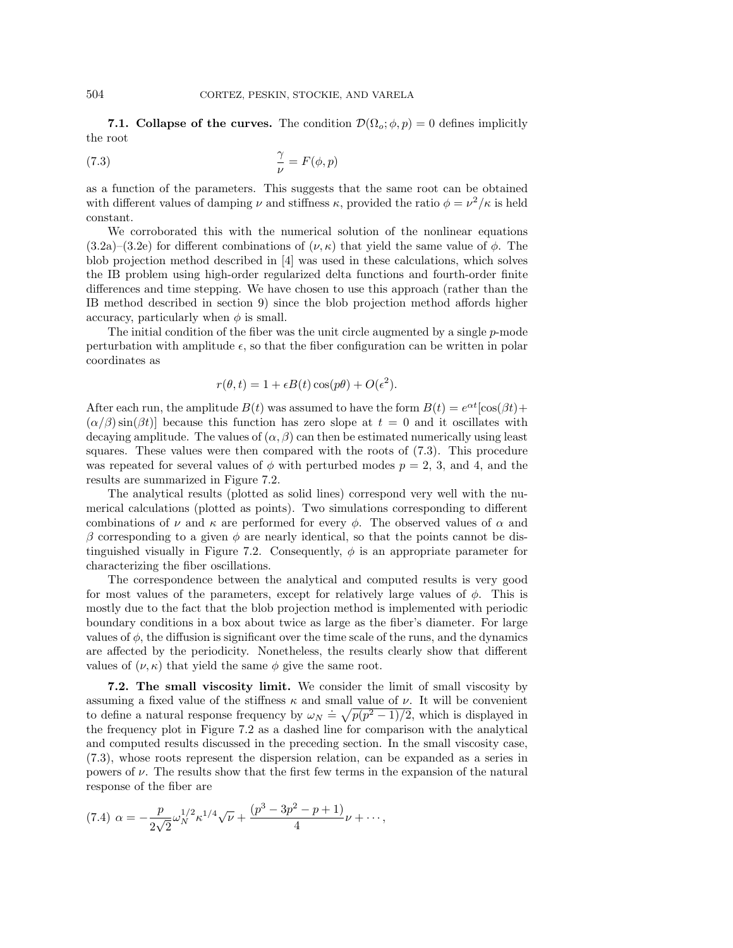**7.1. Collapse of the curves.** The condition  $\mathcal{D}(\Omega_o; \phi, p) = 0$  defines implicitly the root

(7.3) 
$$
\frac{\gamma}{\nu} = F(\phi, p)
$$

as a function of the parameters. This suggests that the same root can be obtained with different values of damping  $\nu$  and stiffness  $\kappa$ , provided the ratio  $\phi = \nu^2/\kappa$  is held constant.

We corroborated this with the numerical solution of the nonlinear equations  $(3.2a)-(3.2e)$  for different combinations of  $(\nu, \kappa)$  that yield the same value of  $\phi$ . The blob projection method described in [4] was used in these calculations, which solves the IB problem using high-order regularized delta functions and fourth-order finite differences and time stepping. We have chosen to use this approach (rather than the IB method described in section 9) since the blob projection method affords higher accuracy, particularly when  $\phi$  is small.

The initial condition of the fiber was the unit circle augmented by a single  $p$ -mode perturbation with amplitude  $\epsilon$ , so that the fiber configuration can be written in polar coordinates as

$$
r(\theta, t) = 1 + \epsilon B(t) \cos(p\theta) + O(\epsilon^2).
$$

After each run, the amplitude  $B(t)$  was assumed to have the form  $B(t) = e^{\alpha t} [\cos(\beta t) +$  $(\alpha/\beta)$  sin $(\beta t)$ ] because this function has zero slope at  $t = 0$  and it oscillates with decaying amplitude. The values of  $(\alpha, \beta)$  can then be estimated numerically using least squares. These values were then compared with the roots of (7.3). This procedure was repeated for several values of  $\phi$  with perturbed modes  $p = 2, 3,$  and 4, and the results are summarized in Figure 7.2.

The analytical results (plotted as solid lines) correspond very well with the numerical calculations (plotted as points). Two simulations corresponding to different combinations of  $\nu$  and  $\kappa$  are performed for every  $\phi$ . The observed values of  $\alpha$  and  $\beta$  corresponding to a given  $\phi$  are nearly identical, so that the points cannot be distinguished visually in Figure 7.2. Consequently,  $\phi$  is an appropriate parameter for characterizing the fiber oscillations.

The correspondence between the analytical and computed results is very good for most values of the parameters, except for relatively large values of  $\phi$ . This is mostly due to the fact that the blob projection method is implemented with periodic boundary conditions in a box about twice as large as the fiber's diameter. For large values of  $\phi$ , the diffusion is significant over the time scale of the runs, and the dynamics are affected by the periodicity. Nonetheless, the results clearly show that different values of  $(\nu, \kappa)$  that yield the same  $\phi$  give the same root.

**7.2. The small viscosity limit.** We consider the limit of small viscosity by assuming a fixed value of the stiffness  $\kappa$  and small value of  $\nu$ . It will be convenient to define a natural response frequency by  $\omega_N = \sqrt{p(p^2 - 1)/2}$ , which is displayed in the frequency plot in Figure 7.2 as a dashed line for comparison with the analytical and computed results discussed in the preceding section. In the small viscosity case, (7.3), whose roots represent the dispersion relation, can be expanded as a series in powers of  $\nu$ . The results show that the first few terms in the expansion of the natural response of the fiber are

$$
(7.4) \ \alpha = -\frac{p}{2\sqrt{2}}\omega_N^{1/2} \kappa^{1/4} \sqrt{\nu} + \frac{(p^3 - 3p^2 - p + 1)}{4} \nu + \cdots,
$$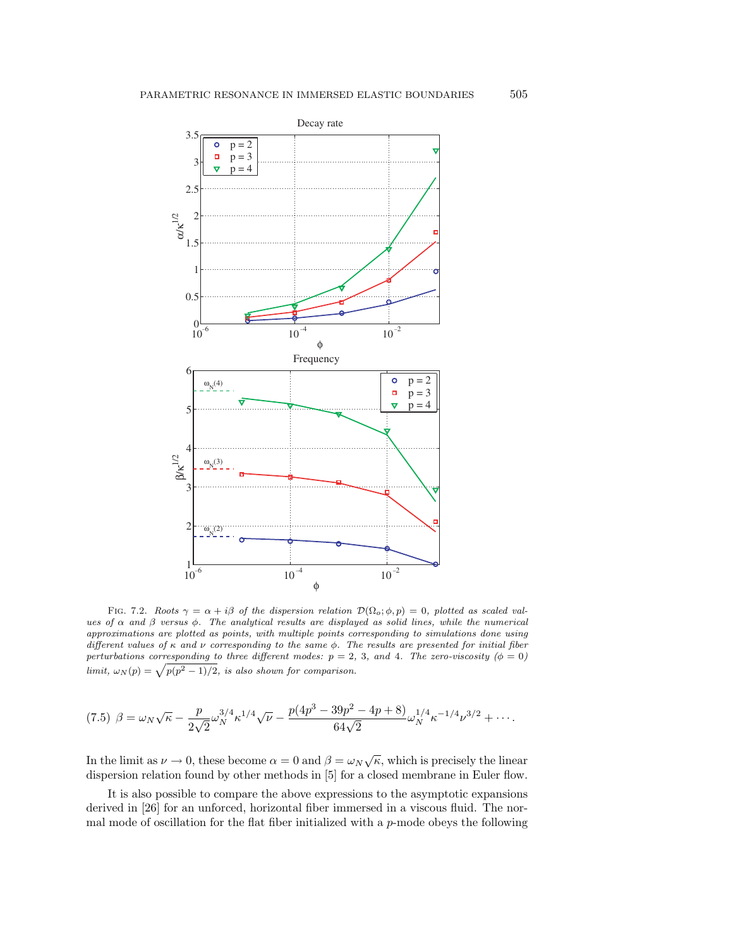

FIG. 7.2. Roots  $\gamma = \alpha + i\beta$  of the dispersion relation  $\mathcal{D}(\Omega_o; \phi, p) = 0$ , plotted as scaled values of  $\alpha$  and  $\beta$  versus  $\phi$ . The analytical results are displayed as solid lines, while the numerical approximations are plotted as points, with multiple points corresponding to simulations done using different values of  $\kappa$  and  $\nu$  corresponding to the same  $\phi$ . The results are presented for initial fiber perturbations corresponding to three different modes:  $p = 2, 3,$  and 4. The zero-viscosity  $(\phi = 0)$ limit,  $\omega_N(p) = \sqrt{p(p^2 - 1)/2}$ , is also shown for comparison.

$$
(7.5) \ \beta = \omega_N \sqrt{\kappa} - \frac{p}{2\sqrt{2}} \omega_N^{3/4} \kappa^{1/4} \sqrt{\nu} - \frac{p(4p^3 - 39p^2 - 4p + 8)}{64\sqrt{2}} \omega_N^{1/4} \kappa^{-1/4} \nu^{3/2} + \cdots
$$

In the limit as  $\nu \to 0$ , these become  $\alpha = 0$  and  $\beta = \omega_N \sqrt{\kappa}$ , which is precisely the linear dispersion relation found by other methods in [5] for a closed membrane in Euler flow.

It is also possible to compare the above expressions to the asymptotic expansions derived in [26] for an unforced, horizontal fiber immersed in a viscous fluid. The normal mode of oscillation for the flat fiber initialized with a  $p$ -mode obeys the following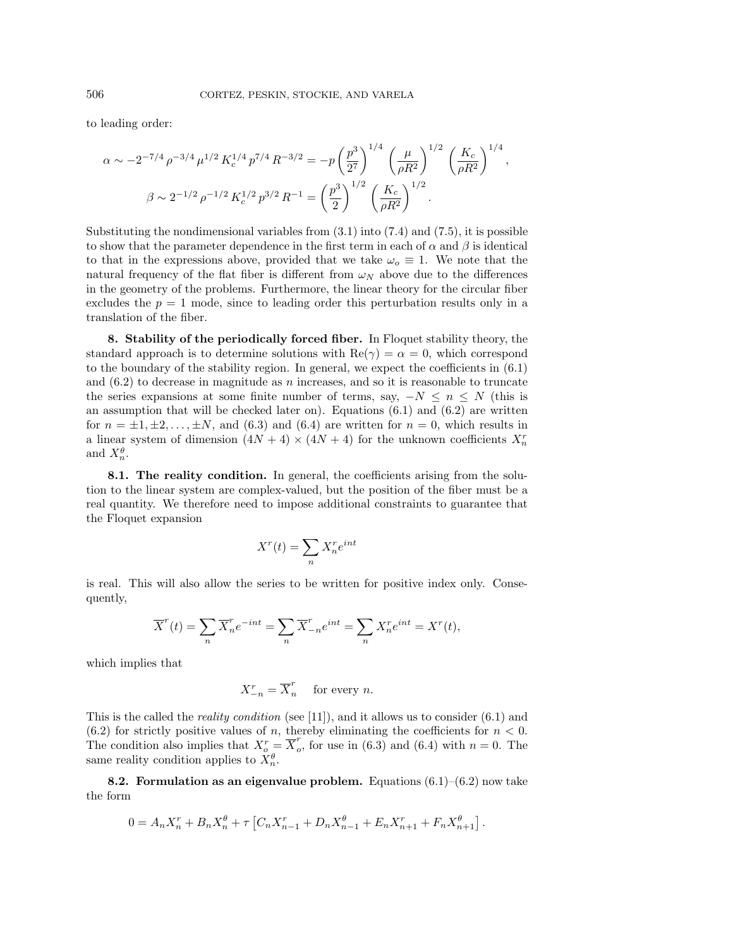to leading order:

$$
\alpha \sim -2^{-7/4} \rho^{-3/4} \mu^{1/2} K_c^{1/4} p^{7/4} R^{-3/2} = -p \left(\frac{p^3}{2^7}\right)^{1/4} \left(\frac{\mu}{\rho R^2}\right)^{1/2} \left(\frac{K_c}{\rho R^2}\right)^{1/4},
$$
  

$$
\beta \sim 2^{-1/2} \rho^{-1/2} K_c^{1/2} p^{3/2} R^{-1} = \left(\frac{p^3}{2}\right)^{1/2} \left(\frac{K_c}{\rho R^2}\right)^{1/2}.
$$

Substituting the nondimensional variables from  $(3.1)$  into  $(7.4)$  and  $(7.5)$ , it is possible to show that the parameter dependence in the first term in each of  $\alpha$  and  $\beta$  is identical to that in the expressions above, provided that we take  $\omega_o \equiv 1$ . We note that the natural frequency of the flat fiber is different from  $\omega_N$  above due to the differences in the geometry of the problems. Furthermore, the linear theory for the circular fiber excludes the  $p = 1$  mode, since to leading order this perturbation results only in a translation of the fiber.

**8. Stability of the periodically forced fiber.** In Floquet stability theory, the standard approach is to determine solutions with  $\text{Re}(\gamma) = \alpha = 0$ , which correspond to the boundary of the stability region. In general, we expect the coefficients in (6.1) and  $(6.2)$  to decrease in magnitude as n increases, and so it is reasonable to truncate the series expansions at some finite number of terms, say,  $-N \leq n \leq N$  (this is an assumption that will be checked later on). Equations (6.1) and (6.2) are written for  $n = \pm 1, \pm 2, \ldots, \pm N$ , and (6.3) and (6.4) are written for  $n = 0$ , which results in a linear system of dimension  $(4N + 4) \times (4N + 4)$  for the unknown coefficients  $X_n^r$ and  $X_n^{\theta}$ .

**8.1. The reality condition.** In general, the coefficients arising from the solution to the linear system are complex-valued, but the position of the fiber must be a real quantity. We therefore need to impose additional constraints to guarantee that the Floquet expansion

$$
X^r(t) = \sum_n X^r_n e^{int}
$$

is real. This will also allow the series to be written for positive index only. Consequently,

$$
\overline{X}^r(t) = \sum_n \overline{X}_n^r e^{-int} = \sum_n \overline{X}_{-n}^r e^{int} = \sum_n X_n^r e^{int} = X^r(t),
$$

which implies that

$$
X_{-n}^r = \overline{X}_n^r \quad \text{ for every } n.
$$

This is the called the *reality condition* (see [11]), and it allows us to consider  $(6.1)$  and  $(6.2)$  for strictly positive values of n, thereby eliminating the coefficients for  $n < 0$ . The condition also implies that  $X_o^r = \overline{X}_o^r$ , for use in (6.3) and (6.4) with  $n = 0$ . The same reality condition applies to  $X_n^{\theta}$ .

**8.2. Formulation as an eigenvalue problem.** Equations (6.1)–(6.2) now take the form

$$
0 = A_n X_n^r + B_n X_n^{\theta} + \tau \left[ C_n X_{n-1}^r + D_n X_{n-1}^{\theta} + E_n X_{n+1}^r + F_n X_{n+1}^{\theta} \right].
$$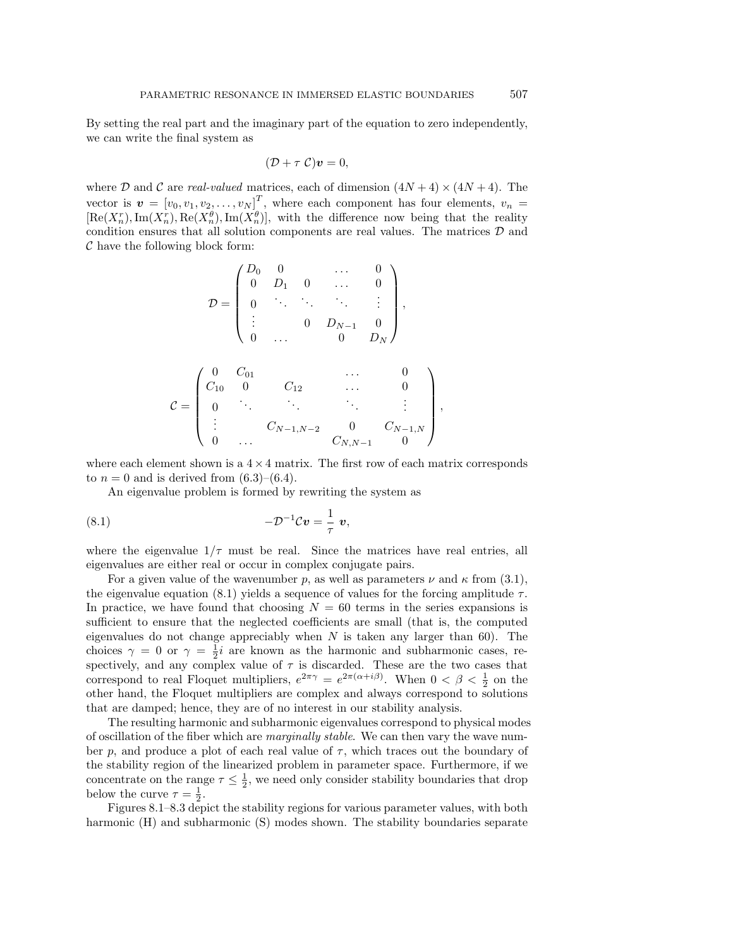By setting the real part and the imaginary part of the equation to zero independently, we can write the final system as

$$
(\mathcal{D} + \tau \mathcal{C})\mathbf{v} = 0,
$$

where D and C are real-valued matrices, each of dimension  $(4N+4) \times (4N+4)$ . The vector is  $\mathbf{v} = [v_0, v_1, v_2, \dots, v_N]^T$ , where each component has four elements,  $v_n =$  $[Re(X_n^r), Im(X_n^r), Re(X_n^{\theta}), Im(X_n^{\theta})]$ , with the difference now being that the reality condition ensures that all solution components are real values. The matrices  $D$  and  $\mathcal C$  have the following block form:

$$
\mathcal{D} = \begin{pmatrix}\nD_0 & 0 & & \cdots & 0 \\
0 & D_1 & 0 & \cdots & 0 \\
0 & \ddots & \ddots & \ddots & \vdots \\
\vdots & & 0 & D_{N-1} & 0 \\
0 & \cdots & & 0 & D_N\n\end{pmatrix},
$$
\n
$$
\mathcal{C} = \begin{pmatrix}\n0 & C_{01} & & & & & \\
C_{10} & 0 & C_{12} & \cdots & 0 \\
0 & \ddots & \ddots & \ddots & \vdots \\
\vdots & & C_{N-1,N-2} & 0 & C_{N-1,N} \\
0 & \cdots & & C_{N,N-1} & 0\n\end{pmatrix}
$$

where each element shown is a  $4 \times 4$  matrix. The first row of each matrix corresponds to  $n = 0$  and is derived from  $(6.3)$ – $(6.4)$ .

An eigenvalue problem is formed by rewriting the system as

$$
(8.1) \t -\mathcal{D}^{-1}\mathcal{C}\boldsymbol{v} = \frac{1}{\tau}\boldsymbol{v},
$$

where the eigenvalue  $1/\tau$  must be real. Since the matrices have real entries, all eigenvalues are either real or occur in complex conjugate pairs.

For a given value of the wavenumber p, as well as parameters  $\nu$  and  $\kappa$  from (3.1), the eigenvalue equation (8.1) yields a sequence of values for the forcing amplitude  $\tau$ . In practice, we have found that choosing  $N = 60$  terms in the series expansions is sufficient to ensure that the neglected coefficients are small (that is, the computed eigenvalues do not change appreciably when  $N$  is taken any larger than 60). The choices  $\gamma = 0$  or  $\gamma = \frac{1}{2}i$  are known as the harmonic and subharmonic cases, respectively, and any complex value of  $\tau$  is discarded. These are the two cases that correspond to real Floquet multipliers,  $e^{2\pi \gamma} = e^{2\pi (\alpha + i\beta)}$ . When  $0 < \beta < \frac{1}{2}$  on the other hand, the Floquet multipliers are complex and always correspond to solutions that are damped; hence, they are of no interest in our stability analysis.

The resulting harmonic and subharmonic eigenvalues correspond to physical modes of oscillation of the fiber which are marginally stable. We can then vary the wave number p, and produce a plot of each real value of  $\tau$ , which traces out the boundary of the stability region of the linearized problem in parameter space. Furthermore, if we concentrate on the range  $\tau \leq \frac{1}{2}$ , we need only consider stability boundaries that drop below the curve  $\tau = \frac{1}{2}$ .

Figures 8.1–8.3 depict the stability regions for various parameter values, with both harmonic (H) and subharmonic (S) modes shown. The stability boundaries separate

,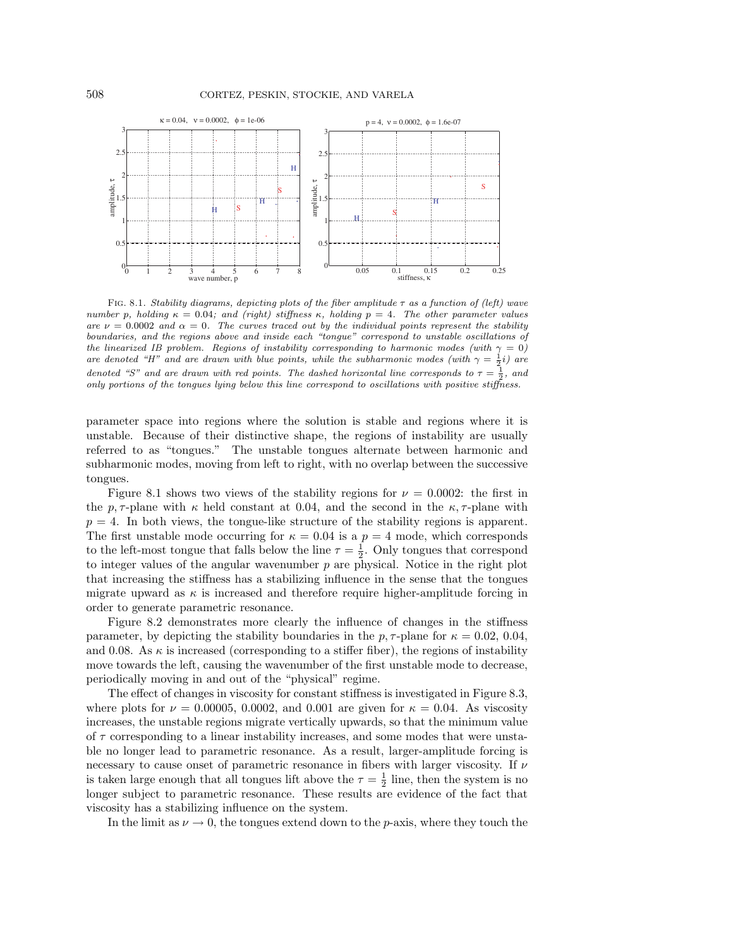

FIG. 8.1. Stability diagrams, depicting plots of the fiber amplitude  $\tau$  as a function of (left) wave number p, holding  $\kappa = 0.04$ ; and (right) stiffness  $\kappa$ , holding  $p = 4$ . The other parameter values are  $\nu = 0.0002$  and  $\alpha = 0$ . The curves traced out by the individual points represent the stability boundaries, and the regions above and inside each "tongue" correspond to unstable oscillations of the linearized IB problem. Regions of instability corresponding to harmonic modes (with  $\gamma = 0$ ) are denoted "H" and are drawn with blue points, while the subharmonic modes (with  $\gamma = \frac{1}{2}i$ ) are denoted "S" and are drawn with red points. The dashed horizontal line corresponds to  $\tau = \frac{1}{2}$ , and only portions of the tongues lying below this line correspond to oscillations with positive stiffness.

parameter space into regions where the solution is stable and regions where it is unstable. Because of their distinctive shape, the regions of instability are usually referred to as "tongues." The unstable tongues alternate between harmonic and subharmonic modes, moving from left to right, with no overlap between the successive tongues.

Figure 8.1 shows two views of the stability regions for  $\nu = 0.0002$ : the first in the p,  $\tau$ -plane with  $\kappa$  held constant at 0.04, and the second in the  $\kappa$ ,  $\tau$ -plane with  $p = 4$ . In both views, the tongue-like structure of the stability regions is apparent. The first unstable mode occurring for  $\kappa = 0.04$  is a  $p = 4$  mode, which corresponds to the left-most tongue that falls below the line  $\tau = \frac{1}{2}$ . Only tongues that correspond to integer values of the angular wavenumber  $p$  are physical. Notice in the right plot that increasing the stiffness has a stabilizing influence in the sense that the tongues migrate upward as  $\kappa$  is increased and therefore require higher-amplitude forcing in order to generate parametric resonance.

Figure 8.2 demonstrates more clearly the influence of changes in the stiffness parameter, by depicting the stability boundaries in the  $p, \tau$ -plane for  $\kappa = 0.02, 0.04$ , and 0.08. As  $\kappa$  is increased (corresponding to a stiffer fiber), the regions of instability move towards the left, causing the wavenumber of the first unstable mode to decrease, periodically moving in and out of the "physical" regime.

The effect of changes in viscosity for constant stiffness is investigated in Figure 8.3, where plots for  $\nu = 0.00005, 0.0002,$  and 0.001 are given for  $\kappa = 0.04$ . As viscosity increases, the unstable regions migrate vertically upwards, so that the minimum value of  $\tau$  corresponding to a linear instability increases, and some modes that were unstable no longer lead to parametric resonance. As a result, larger-amplitude forcing is necessary to cause onset of parametric resonance in fibers with larger viscosity. If  $\nu$ is taken large enough that all tongues lift above the  $\tau = \frac{1}{2}$  line, then the system is no longer subject to parametric resonance. These results are evidence of the fact that viscosity has a stabilizing influence on the system.

In the limit as  $\nu \rightarrow 0$ , the tongues extend down to the *p*-axis, where they touch the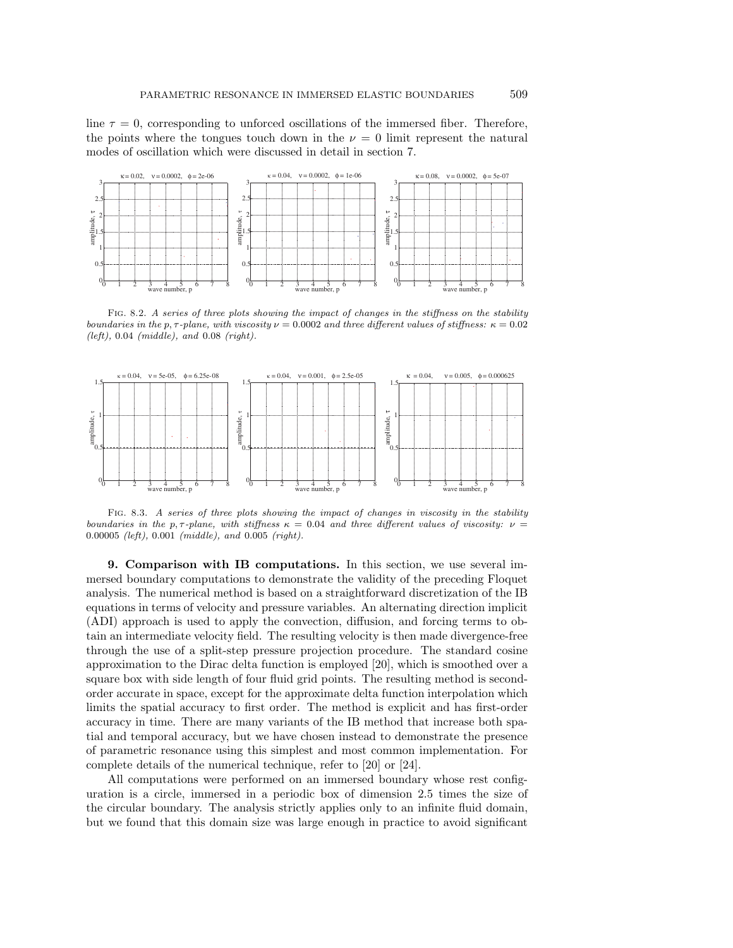line  $\tau = 0$ , corresponding to unforced oscillations of the immersed fiber. Therefore, the points where the tongues touch down in the  $\nu = 0$  limit represent the natural modes of oscillation which were discussed in detail in section 7.



Fig. 8.2. A series of three plots showing the impact of changes in the stiffness on the stability boundaries in the p,  $\tau$ -plane, with viscosity  $\nu = 0.0002$  and three different values of stiffness:  $\kappa = 0.02$  $(left), 0.04$  (middle), and  $0.08$  (right).



Fig. 8.3. A series of three plots showing the impact of changes in viscosity in the stability boundaries in the p,  $\tau$ -plane, with stiffness  $\kappa = 0.04$  and three different values of viscosity:  $\nu =$ 0.00005 (left), 0.001 (middle), and 0.005 (right).

**9. Comparison with IB computations.** In this section, we use several immersed boundary computations to demonstrate the validity of the preceding Floquet analysis. The numerical method is based on a straightforward discretization of the IB equations in terms of velocity and pressure variables. An alternating direction implicit (ADI) approach is used to apply the convection, diffusion, and forcing terms to obtain an intermediate velocity field. The resulting velocity is then made divergence-free through the use of a split-step pressure projection procedure. The standard cosine approximation to the Dirac delta function is employed [20], which is smoothed over a square box with side length of four fluid grid points. The resulting method is secondorder accurate in space, except for the approximate delta function interpolation which limits the spatial accuracy to first order. The method is explicit and has first-order accuracy in time. There are many variants of the IB method that increase both spatial and temporal accuracy, but we have chosen instead to demonstrate the presence of parametric resonance using this simplest and most common implementation. For complete details of the numerical technique, refer to [20] or [24].

All computations were performed on an immersed boundary whose rest configuration is a circle, immersed in a periodic box of dimension 2.5 times the size of the circular boundary. The analysis strictly applies only to an infinite fluid domain, but we found that this domain size was large enough in practice to avoid significant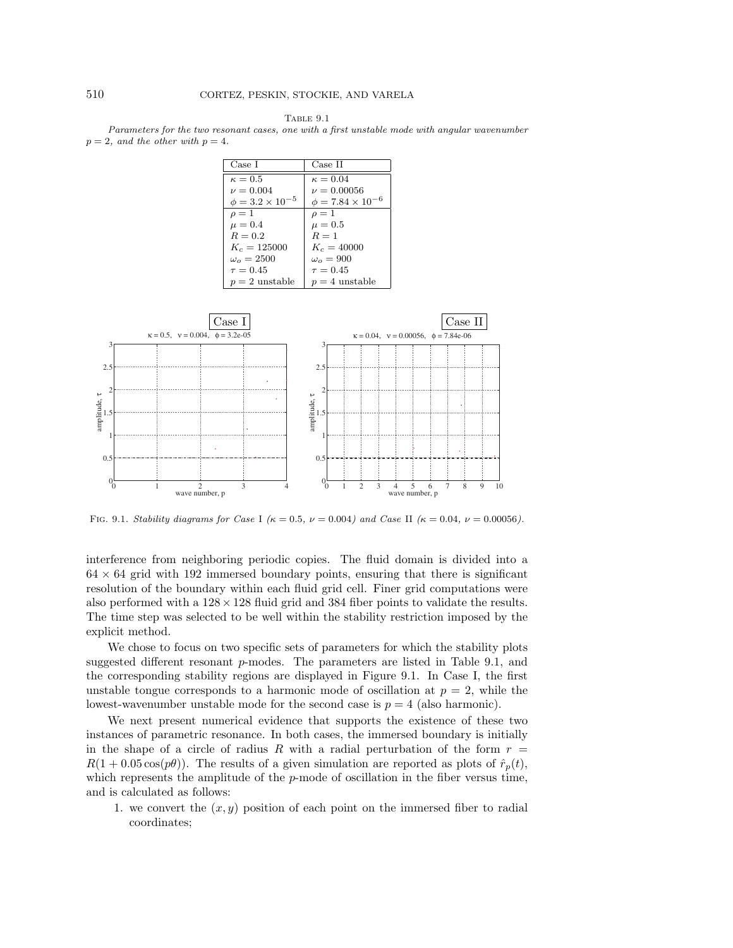Table 9.1

Parameters for the two resonant cases, one with a first unstable mode with angular wavenumber  $p = 2$ , and the other with  $p = 4$ .

| Case I                      | Case II                      |
|-----------------------------|------------------------------|
| $\kappa = 0.5$              | $\kappa = 0.04$              |
| $\nu = 0.004$               | $\nu = 0.00056$              |
| $\phi = 3.2 \times 10^{-5}$ | $\phi = 7.84 \times 10^{-6}$ |
| $\rho=1$                    | $\rho=1$                     |
| $\mu=0.4$                   | $\mu=0.5$                    |
| $R = 0.2$                   | $R=1$                        |
| $K_c = 125000$              | $K_c = 40000$                |
| $\omega_0 = 2500$           | $\omega_o = 900$             |
| $\tau = 0.45$               | $\tau = 0.45$                |
| $p=2$ unstable              | $p=4$ unstable               |



FIG. 9.1. Stability diagrams for Case I ( $\kappa = 0.5$ ,  $\nu = 0.004$ ) and Case II ( $\kappa = 0.04$ ,  $\nu = 0.00056$ ).

interference from neighboring periodic copies. The fluid domain is divided into a  $64 \times 64$  grid with 192 immersed boundary points, ensuring that there is significant resolution of the boundary within each fluid grid cell. Finer grid computations were also performed with a  $128 \times 128$  fluid grid and 384 fiber points to validate the results. The time step was selected to be well within the stability restriction imposed by the explicit method.

We chose to focus on two specific sets of parameters for which the stability plots suggested different resonant p-modes. The parameters are listed in Table 9.1, and the corresponding stability regions are displayed in Figure 9.1. In Case I, the first unstable tongue corresponds to a harmonic mode of oscillation at  $p = 2$ , while the lowest-wavenumber unstable mode for the second case is  $p = 4$  (also harmonic).

We next present numerical evidence that supports the existence of these two instances of parametric resonance. In both cases, the immersed boundary is initially in the shape of a circle of radius R with a radial perturbation of the form  $r =$  $R(1 + 0.05 \cos(p\theta))$ . The results of a given simulation are reported as plots of  $\hat{r}_p(t)$ , which represents the amplitude of the  $p$ -mode of oscillation in the fiber versus time, and is calculated as follows:

1. we convert the  $(x, y)$  position of each point on the immersed fiber to radial coordinates;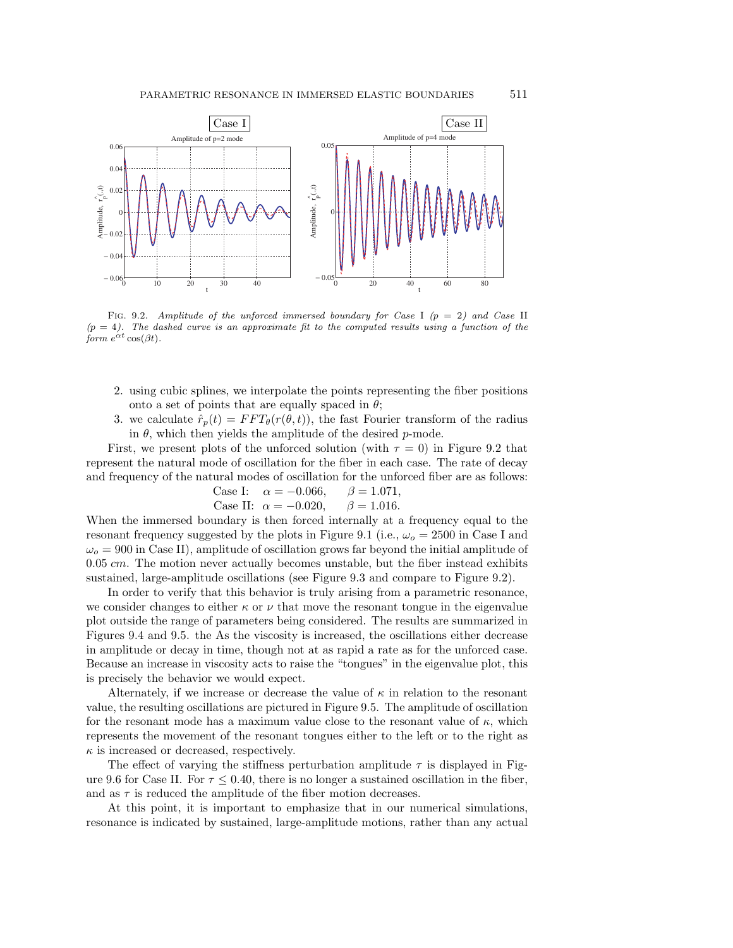

FIG. 9.2. Amplitude of the unforced immersed boundary for Case I  $(p = 2)$  and Case II  $(p = 4)$ . The dashed curve is an approximate fit to the computed results using a function of the form  $e^{\alpha t}$  cos( $\beta t$ ).

- 2. using cubic splines, we interpolate the points representing the fiber positions onto a set of points that are equally spaced in  $\theta$ ;
- 3. we calculate  $\hat{r}_p(t) = FFT_\theta(r(\theta,t))$ , the fast Fourier transform of the radius in  $\theta$ , which then yields the amplitude of the desired p-mode.

First, we present plots of the unforced solution (with  $\tau = 0$ ) in Figure 9.2 that represent the natural mode of oscillation for the fiber in each case. The rate of decay and frequency of the natural modes of oscillation for the unforced fiber are as follows:

Case I: 
$$
\alpha = -0.066
$$
,  $\beta = 1.071$ ,  
Case II:  $\alpha = -0.020$ ,  $\beta = 1.016$ .

When the immersed boundary is then forced internally at a frequency equal to the resonant frequency suggested by the plots in Figure 9.1 (i.e.,  $\omega_{o} = 2500$  in Case I and  $\omega_0 = 900$  in Case II), amplitude of oscillation grows far beyond the initial amplitude of  $0.05$  cm. The motion never actually becomes unstable, but the fiber instead exhibits sustained, large-amplitude oscillations (see Figure 9.3 and compare to Figure 9.2).

In order to verify that this behavior is truly arising from a parametric resonance, we consider changes to either  $\kappa$  or  $\nu$  that move the resonant tongue in the eigenvalue plot outside the range of parameters being considered. The results are summarized in Figures 9.4 and 9.5. the As the viscosity is increased, the oscillations either decrease in amplitude or decay in time, though not at as rapid a rate as for the unforced case. Because an increase in viscosity acts to raise the "tongues" in the eigenvalue plot, this is precisely the behavior we would expect.

Alternately, if we increase or decrease the value of  $\kappa$  in relation to the resonant value, the resulting oscillations are pictured in Figure 9.5. The amplitude of oscillation for the resonant mode has a maximum value close to the resonant value of  $\kappa$ , which represents the movement of the resonant tongues either to the left or to the right as  $\kappa$  is increased or decreased, respectively.

The effect of varying the stiffness perturbation amplitude  $\tau$  is displayed in Figure 9.6 for Case II. For  $\tau \leq 0.40$ , there is no longer a sustained oscillation in the fiber, and as  $\tau$  is reduced the amplitude of the fiber motion decreases.

At this point, it is important to emphasize that in our numerical simulations, resonance is indicated by sustained, large-amplitude motions, rather than any actual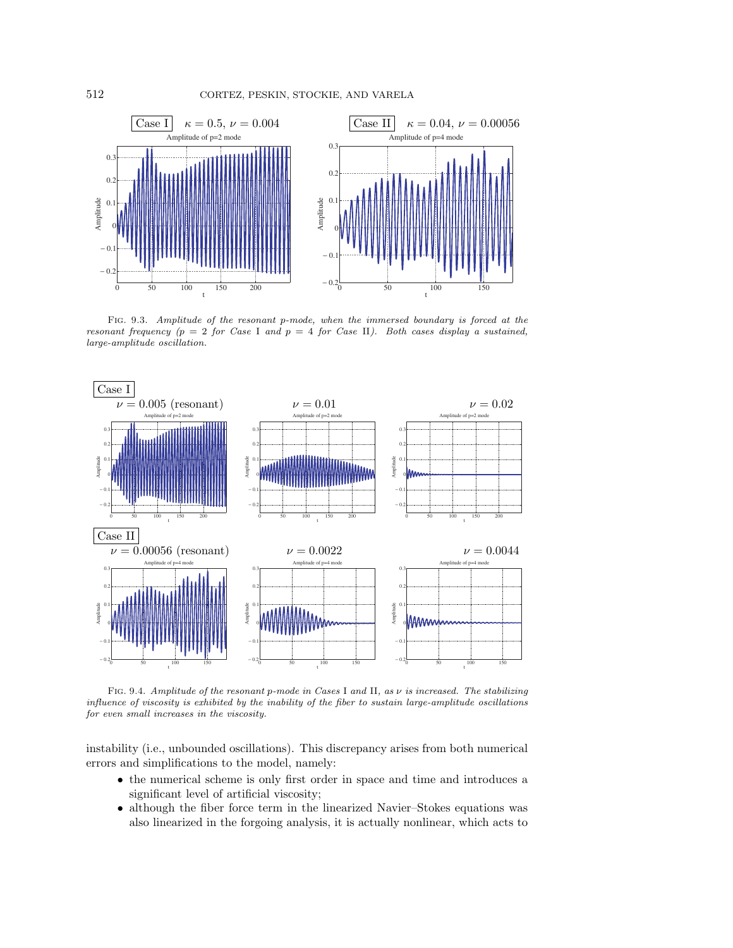

Fig. 9.3. Amplitude of the resonant p-mode, when the immersed boundary is forced at the resonant frequency  $(p = 2$  for Case I and  $p = 4$  for Case II). Both cases display a sustained, large-amplitude oscillation.



FIG. 9.4. Amplitude of the resonant p-mode in Cases I and II, as  $\nu$  is increased. The stabilizing influence of viscosity is exhibited by the inability of the fiber to sustain large-amplitude oscillations for even small increases in the viscosity.

instability (i.e., unbounded oscillations). This discrepancy arises from both numerical errors and simplifications to the model, namely:

- the numerical scheme is only first order in space and time and introduces a significant level of artificial viscosity;
- although the fiber force term in the linearized Navier–Stokes equations was also linearized in the forgoing analysis, it is actually nonlinear, which acts to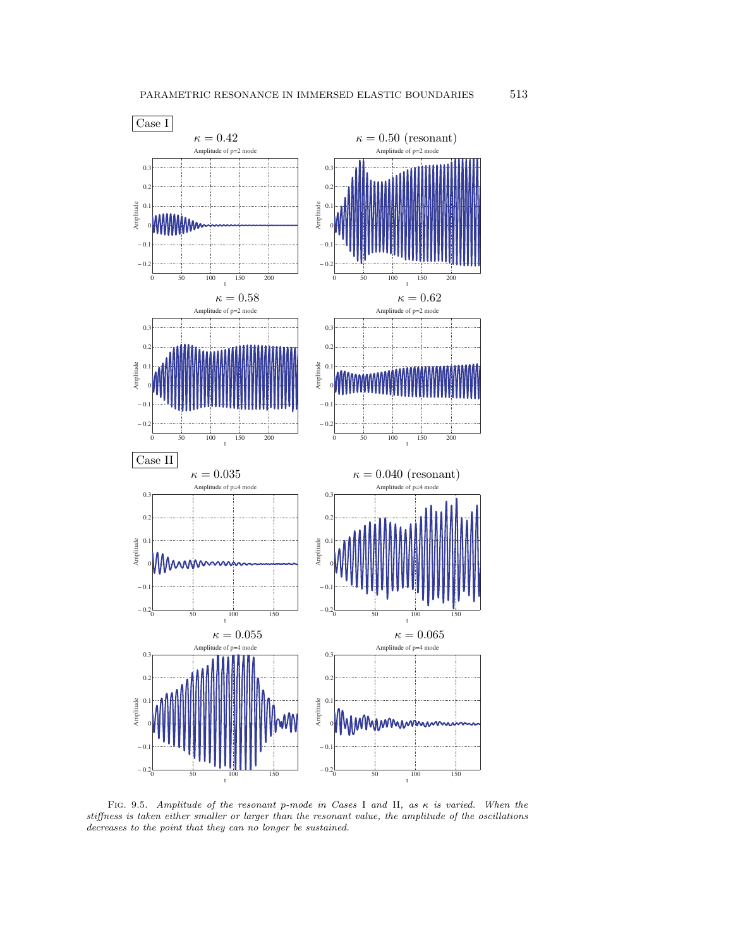

Fig. 9.5. Amplitude of the resonant p-mode in Cases I and II, as κ is varied. When the stiffness is taken either smaller or larger than the resonant value, the amplitude of the oscillations decreases to the point that they can no longer be sustained.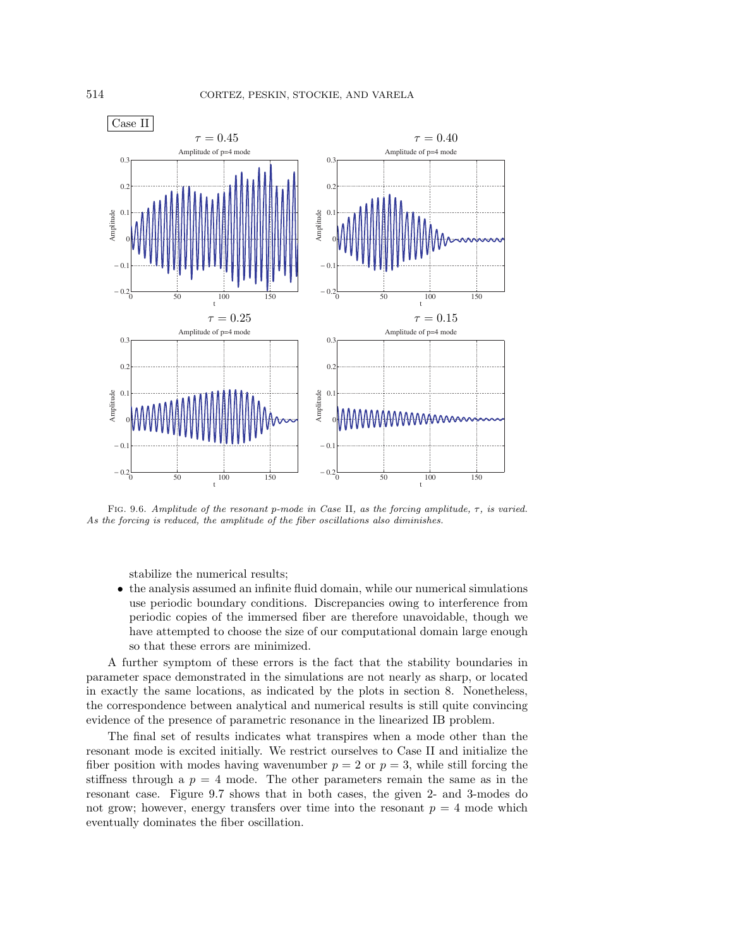

FIG. 9.6. Amplitude of the resonant p-mode in Case II, as the forcing amplitude,  $\tau$ , is varied. As the forcing is reduced, the amplitude of the fiber oscillations also diminishes.

stabilize the numerical results;

• the analysis assumed an infinite fluid domain, while our numerical simulations use periodic boundary conditions. Discrepancies owing to interference from periodic copies of the immersed fiber are therefore unavoidable, though we have attempted to choose the size of our computational domain large enough so that these errors are minimized.

A further symptom of these errors is the fact that the stability boundaries in parameter space demonstrated in the simulations are not nearly as sharp, or located in exactly the same locations, as indicated by the plots in section 8. Nonetheless, the correspondence between analytical and numerical results is still quite convincing evidence of the presence of parametric resonance in the linearized IB problem.

The final set of results indicates what transpires when a mode other than the resonant mode is excited initially. We restrict ourselves to Case II and initialize the fiber position with modes having wavenumber  $p = 2$  or  $p = 3$ , while still forcing the stiffness through a  $p = 4$  mode. The other parameters remain the same as in the resonant case. Figure 9.7 shows that in both cases, the given 2- and 3-modes do not grow; however, energy transfers over time into the resonant  $p = 4$  mode which eventually dominates the fiber oscillation.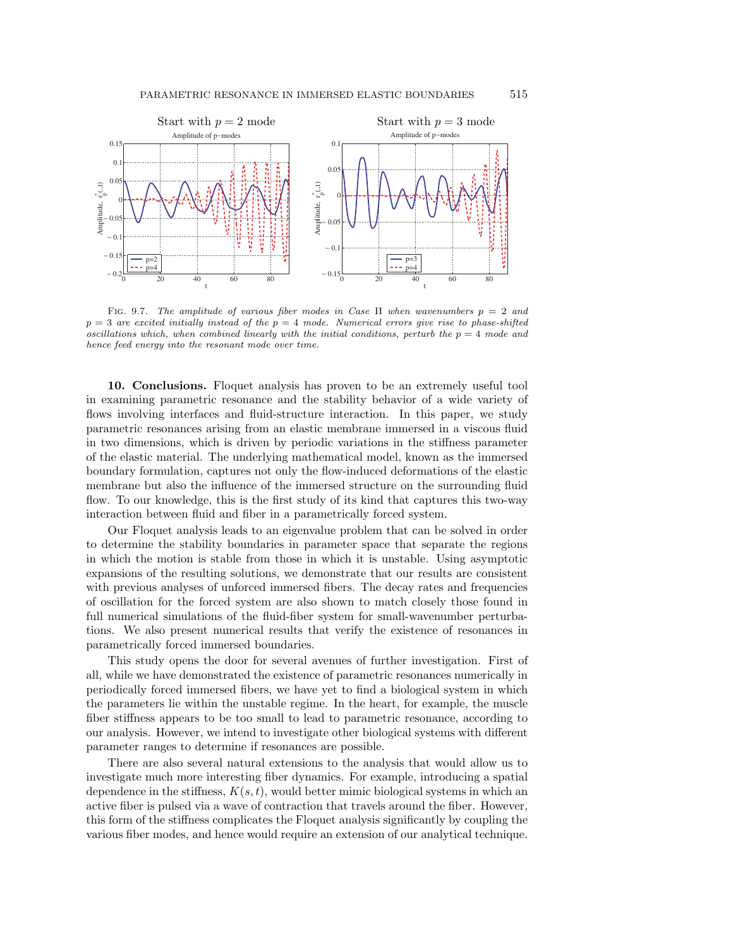

FIG. 9.7. The amplitude of various fiber modes in Case II when wavenumbers  $p = 2$  and  $p = 3$  are excited initially instead of the  $p = 4$  mode. Numerical errors give rise to phase-shifted oscillations which, when combined linearly with the initial conditions, perturb the  $p = 4$  mode and hence feed energy into the resonant mode over time.

**10. Conclusions.** Floquet analysis has proven to be an extremely useful tool in examining parametric resonance and the stability behavior of a wide variety of flows involving interfaces and fluid-structure interaction. In this paper, we study parametric resonances arising from an elastic membrane immersed in a viscous fluid in two dimensions, which is driven by periodic variations in the stiffness parameter of the elastic material. The underlying mathematical model, known as the immersed boundary formulation, captures not only the flow-induced deformations of the elastic membrane but also the influence of the immersed structure on the surrounding fluid flow. To our knowledge, this is the first study of its kind that captures this two-way interaction between fluid and fiber in a parametrically forced system.

Our Floquet analysis leads to an eigenvalue problem that can be solved in order to determine the stability boundaries in parameter space that separate the regions in which the motion is stable from those in which it is unstable. Using asymptotic expansions of the resulting solutions, we demonstrate that our results are consistent with previous analyses of unforced immersed fibers. The decay rates and frequencies of oscillation for the forced system are also shown to match closely those found in full numerical simulations of the fluid-fiber system for small-wavenumber perturbations. We also present numerical results that verify the existence of resonances in parametrically forced immersed boundaries.

This study opens the door for several avenues of further investigation. First of all, while we have demonstrated the existence of parametric resonances numerically in periodically forced immersed fibers, we have yet to find a biological system in which the parameters lie within the unstable regime. In the heart, for example, the muscle fiber stiffness appears to be too small to lead to parametric resonance, according to our analysis. However, we intend to investigate other biological systems with different parameter ranges to determine if resonances are possible.

There are also several natural extensions to the analysis that would allow us to investigate much more interesting fiber dynamics. For example, introducing a spatial dependence in the stiffness,  $K(s, t)$ , would better mimic biological systems in which an active fiber is pulsed via a wave of contraction that travels around the fiber. However, this form of the stiffness complicates the Floquet analysis significantly by coupling the various fiber modes, and hence would require an extension of our analytical technique.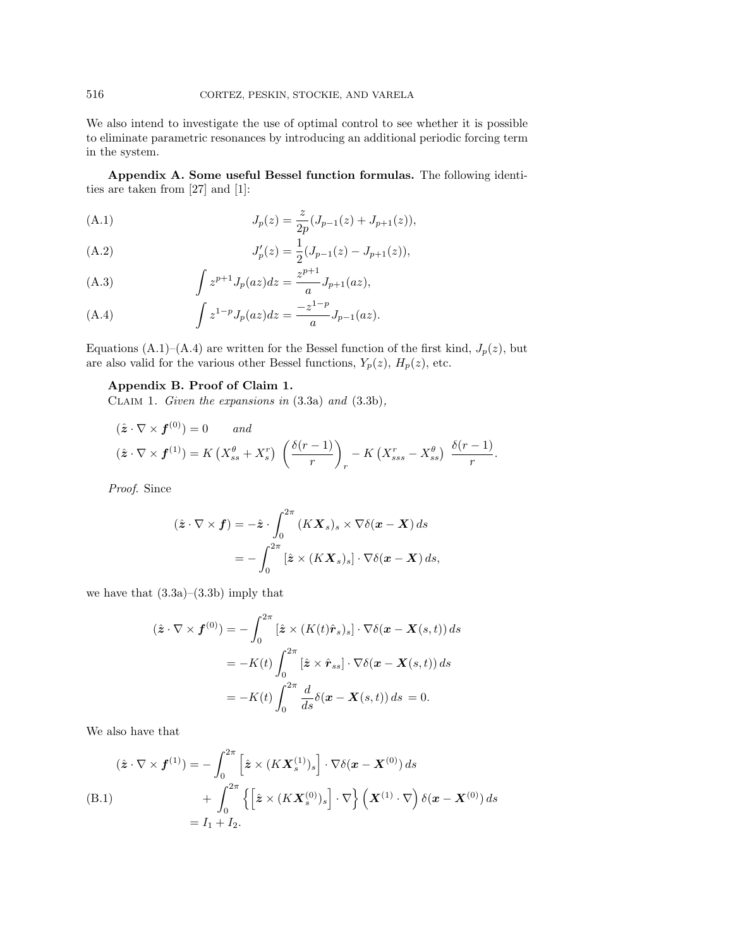We also intend to investigate the use of optimal control to see whether it is possible to eliminate parametric resonances by introducing an additional periodic forcing term in the system.

**Appendix A. Some useful Bessel function formulas.** The following identities are taken from [27] and [1]:

(A.1) 
$$
J_p(z) = \frac{z}{2p}(J_{p-1}(z) + J_{p+1}(z)),
$$

(A.2) 
$$
J'_p(z) = \frac{1}{2}(J_{p-1}(z) - J_{p+1}(z)),
$$

(A.3) 
$$
\int z^{p+1} J_p(az) dz = \frac{z^{p+1}}{a} J_{p+1}(az),
$$

(A.4) 
$$
\int z^{1-p} J_p(az) dz = \frac{-z^{1-p}}{a} J_{p-1}(az).
$$

Equations (A.1)–(A.4) are written for the Bessel function of the first kind,  $J_p(z)$ , but are also valid for the various other Bessel functions,  $Y_p(z)$ ,  $H_p(z)$ , etc.

## **Appendix B. Proof of Claim 1.**

CLAIM 1. Given the expansions in  $(3.3a)$  and  $(3.3b)$ ,

$$
(\hat{\mathbf{z}} \cdot \nabla \times \mathbf{f}^{(0)}) = 0 \quad \text{and}
$$
  

$$
(\hat{\mathbf{z}} \cdot \nabla \times \mathbf{f}^{(1)}) = K\left(X_{ss}^{\theta} + X_{s}^{r}\right) \left(\frac{\delta(r-1)}{r}\right)_{r} - K\left(X_{sss}^{r} - X_{ss}^{\theta}\right) \frac{\delta(r-1)}{r}.
$$

Proof. Since

$$
(\hat{\mathbf{z}} \cdot \nabla \times \mathbf{f}) = -\hat{\mathbf{z}} \cdot \int_0^{2\pi} (K\mathbf{X}_s)_s \times \nabla \delta(\mathbf{x} - \mathbf{X}) ds
$$
  
= 
$$
- \int_0^{2\pi} [\hat{\mathbf{z}} \times (K\mathbf{X}_s)_s] \cdot \nabla \delta(\mathbf{x} - \mathbf{X}) ds,
$$

we have that  $(3.3a)$ – $(3.3b)$  imply that

$$
(\hat{\mathbf{z}} \cdot \nabla \times \mathbf{f}^{(0)}) = -\int_0^{2\pi} [\hat{\mathbf{z}} \times (K(t)\hat{\mathbf{r}}_s)_s] \cdot \nabla \delta(\mathbf{x} - \mathbf{X}(s,t)) ds
$$
  

$$
= -K(t) \int_0^{2\pi} [\hat{\mathbf{z}} \times \hat{\mathbf{r}}_{ss}] \cdot \nabla \delta(\mathbf{x} - \mathbf{X}(s,t)) ds
$$
  

$$
= -K(t) \int_0^{2\pi} \frac{d}{ds} \delta(\mathbf{x} - \mathbf{X}(s,t)) ds = 0.
$$

We also have that

$$
(\hat{\mathbf{z}} \cdot \nabla \times \boldsymbol{f}^{(1)}) = -\int_0^{2\pi} \left[ \hat{\mathbf{z}} \times (K \mathbf{X}_s^{(1)})_s \right] \cdot \nabla \delta(\boldsymbol{x} - \mathbf{X}^{(0)}) ds + \int_0^{2\pi} \left\{ \left[ \hat{\mathbf{z}} \times (K \mathbf{X}_s^{(0)})_s \right] \cdot \nabla \right\} \left( \mathbf{X}^{(1)} \cdot \nabla \right) \delta(\boldsymbol{x} - \mathbf{X}^{(0)}) ds = I_1 + I_2.
$$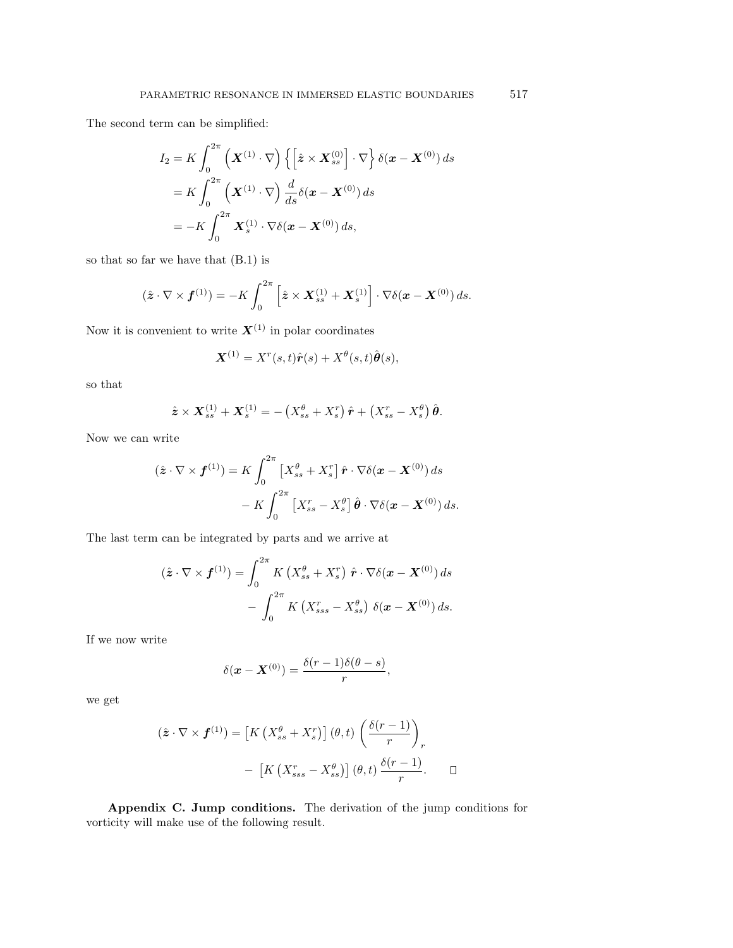The second term can be simplified:

$$
I_2 = K \int_0^{2\pi} \left( \mathbf{X}^{(1)} \cdot \nabla \right) \left\{ \left[ \hat{\mathbf{z}} \times \mathbf{X}_{ss}^{(0)} \right] \cdot \nabla \right\} \delta(\mathbf{x} - \mathbf{X}^{(0)}) ds
$$
  
=  $K \int_0^{2\pi} \left( \mathbf{X}^{(1)} \cdot \nabla \right) \frac{d}{ds} \delta(\mathbf{x} - \mathbf{X}^{(0)}) ds$   
=  $-K \int_0^{2\pi} \mathbf{X}_s^{(1)} \cdot \nabla \delta(\mathbf{x} - \mathbf{X}^{(0)}) ds,$ 

so that so far we have that (B.1) is

$$
(\hat{\mathbf{z}}\cdot\nabla\times\boldsymbol{f}^{(1)})=-K\int_0^{2\pi}\left[\hat{\mathbf{z}}\times\boldsymbol{X}_{ss}^{(1)}+\boldsymbol{X}_s^{(1)}\right]\cdot\nabla\delta(\boldsymbol{x}-\boldsymbol{X}^{(0)})\,ds.
$$

Now it is convenient to write  $X^{(1)}$  in polar coordinates

$$
\mathbf{X}^{(1)} = X^r(s,t)\hat{\mathbf{r}}(s) + X^{\theta}(s,t)\hat{\boldsymbol{\theta}}(s),
$$

so that

$$
\hat{\mathbf{z}} \times \mathbf{X}_{ss}^{(1)} + \mathbf{X}_{s}^{(1)} = -\left(X_{ss}^{\theta} + X_{s}^{r}\right)\hat{\mathbf{r}} + \left(X_{ss}^{r} - X_{s}^{\theta}\right)\hat{\boldsymbol{\theta}}.
$$

Now we can write

$$
(\hat{\mathbf{z}} \cdot \nabla \times \boldsymbol{f}^{(1)}) = K \int_0^{2\pi} \left[ X_{ss}^{\theta} + X_s^r \right] \hat{\boldsymbol{r}} \cdot \nabla \delta(\boldsymbol{x} - \boldsymbol{X}^{(0)}) ds - K \int_0^{2\pi} \left[ X_{ss}^r - X_s^{\theta} \right] \hat{\boldsymbol{\theta}} \cdot \nabla \delta(\boldsymbol{x} - \boldsymbol{X}^{(0)}) ds.
$$

The last term can be integrated by parts and we arrive at

$$
(\hat{\mathbf{z}} \cdot \nabla \times \boldsymbol{f}^{(1)}) = \int_0^{2\pi} K\left(X_{ss}^{\theta} + X_s^r\right) \hat{\boldsymbol{r}} \cdot \nabla \delta(\boldsymbol{x} - \boldsymbol{X}^{(0)}) ds - \int_0^{2\pi} K\left(X_{sss}^r - X_{ss}^{\theta}\right) \delta(\boldsymbol{x} - \boldsymbol{X}^{(0)}) ds.
$$

If we now write

$$
\delta(\boldsymbol{x} - \boldsymbol{X}^{(0)}) = \frac{\delta(r-1)\delta(\theta-s)}{r},
$$

we get

$$
(\hat{\mathbf{z}} \cdot \nabla \times \boldsymbol{f}^{(1)}) = \left[ K \left( X_{ss}^{\theta} + X_{s}^{r} \right) \right] (\theta, t) \left( \frac{\delta(r-1)}{r} \right)_{r}
$$

$$
- \left[ K \left( X_{sss}^{r} - X_{ss}^{\theta} \right) \right] (\theta, t) \frac{\delta(r-1)}{r} . \qquad \Box
$$

**Appendix C. Jump conditions.** The derivation of the jump conditions for vorticity will make use of the following result.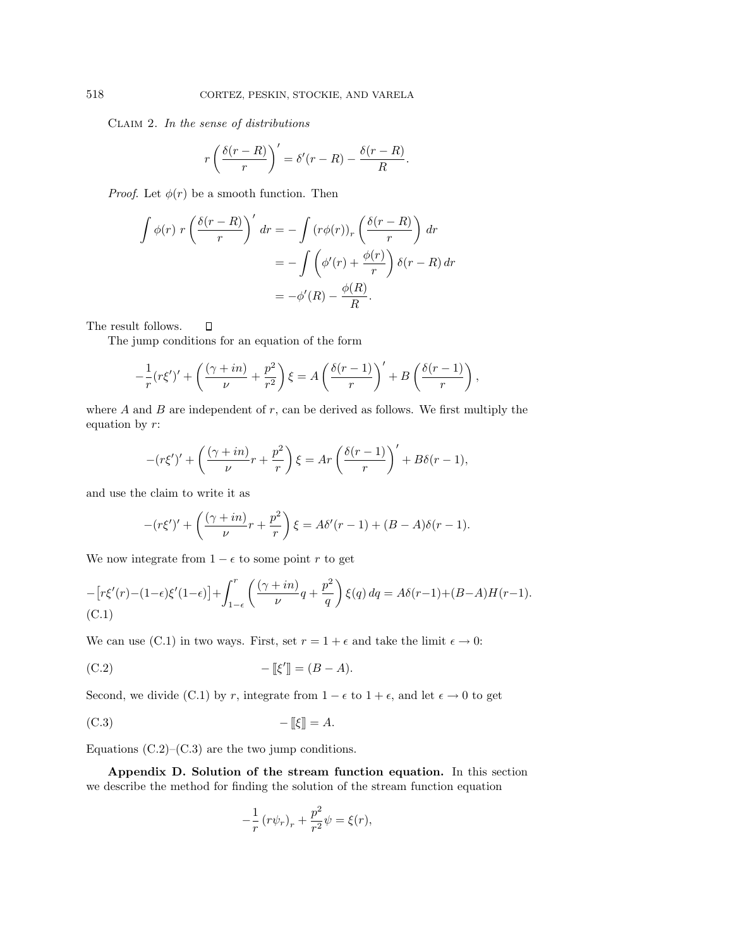Claim 2. In the sense of distributions

$$
r\left(\frac{\delta(r-R)}{r}\right)' = \delta'(r-R) - \frac{\delta(r-R)}{R}.
$$

*Proof.* Let  $\phi(r)$  be a smooth function. Then

$$
\int \phi(r) \ r \left(\frac{\delta(r-R)}{r}\right)' dr = -\int (r\phi(r))_r \left(\frac{\delta(r-R)}{r}\right) dr
$$

$$
= -\int \left(\phi'(r) + \frac{\phi(r)}{r}\right) \delta(r-R) dr
$$

$$
= -\phi'(R) - \frac{\phi(R)}{R}.
$$

The result follows.

The jump conditions for an equation of the form

 $\Box$ 

$$
-\frac{1}{r}(r\xi')' + \left(\frac{(\gamma + in)}{\nu} + \frac{p^2}{r^2}\right)\xi = A\left(\frac{\delta(r-1)}{r}\right)' + B\left(\frac{\delta(r-1)}{r}\right),
$$

where  $A$  and  $B$  are independent of  $r$ , can be derived as follows. We first multiply the equation by  $r$ :

$$
-(r\xi')' + \left(\frac{(\gamma + in)}{\nu}r + \frac{p^2}{r}\right)\xi = Ar\left(\frac{\delta(r-1)}{r}\right)' + B\delta(r-1),
$$

and use the claim to write it as

$$
-(r\xi')' + \left(\frac{(\gamma + in)}{\nu}r + \frac{p^2}{r}\right)\xi = A\delta'(r-1) + (B-A)\delta(r-1).
$$

We now integrate from  $1 - \epsilon$  to some point r to get

$$
-[r\xi'(r)-(1-\epsilon)\xi'(1-\epsilon)]+\int_{1-\epsilon}^r\left(\frac{(\gamma+in)}{\nu}q+\frac{p^2}{q}\right)\xi(q)\,dq=A\delta(r-1)+(B-A)H(r-1).
$$
\n(C.1)

We can use (C.1) in two ways. First, set  $r = 1 + \epsilon$  and take the limit  $\epsilon \to 0$ :

(C.2) 
$$
-[[\xi']] = (B - A).
$$

Second, we divide (C.1) by r, integrate from  $1 - \epsilon$  to  $1 + \epsilon$ , and let  $\epsilon \to 0$  to get

(C.3) 
$$
-[[\xi]] = A.
$$

Equations  $(C.2)$ – $(C.3)$  are the two jump conditions.

**Appendix D. Solution of the stream function equation.** In this section we describe the method for finding the solution of the stream function equation

$$
-\frac{1}{r}(r\psi_r)_r + \frac{p^2}{r^2}\psi = \xi(r),
$$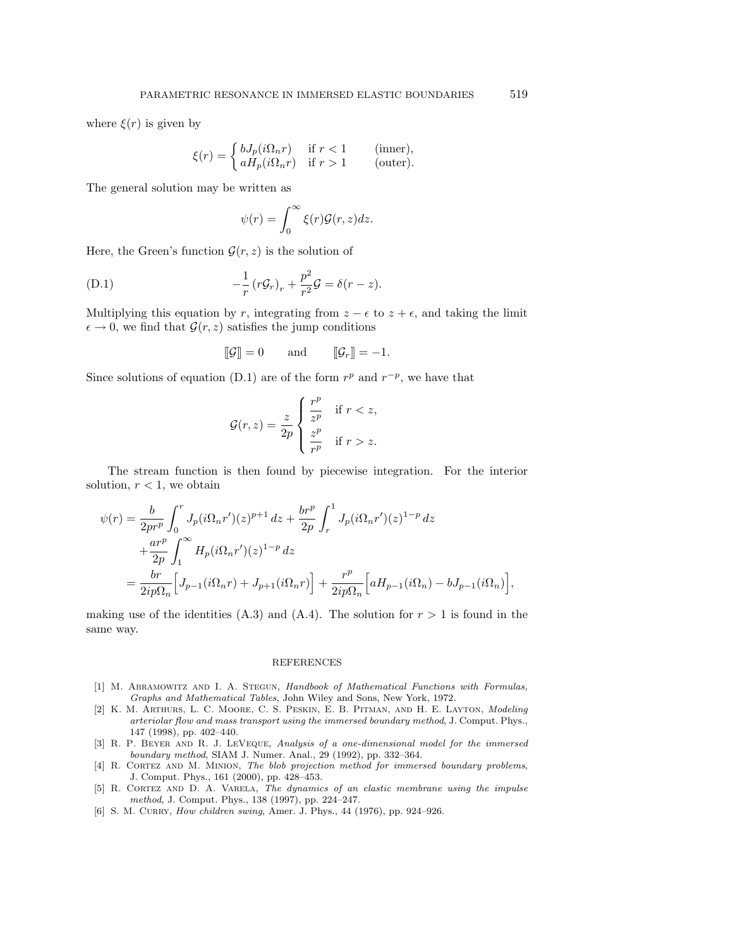where  $\xi(r)$  is given by

$$
\xi(r) = \begin{cases} bJ_p(i\Omega_n r) & \text{if } r < 1 \\ aH_p(i\Omega_n r) & \text{if } r > 1 \end{cases}
$$
 (inner),  
 (outer).

The general solution may be written as

$$
\psi(r) = \int_0^\infty \xi(r) \mathcal{G}(r, z) dz.
$$

Here, the Green's function  $\mathcal{G}(r, z)$  is the solution of

(D.1) 
$$
-\frac{1}{r}(r\mathcal{G}_r)_r + \frac{p^2}{r^2}\mathcal{G} = \delta(r-z).
$$

Multiplying this equation by r, integrating from  $z - \epsilon$  to  $z + \epsilon$ , and taking the limit  $\epsilon \to 0$ , we find that  $\mathcal{G}(r, z)$  satisfies the jump conditions

$$
[\![\mathcal{G}]\!]=0 \quad \text{and} \quad [\![\mathcal{G}_r]\!]=-1.
$$

Since solutions of equation (D.1) are of the form  $r^p$  and  $r^{-p}$ , we have that

$$
\mathcal{G}(r,z) = \frac{z}{2p} \begin{cases} \frac{r^p}{z^p} & \text{if } r < z, \\ \frac{z^p}{r^p} & \text{if } r > z. \end{cases}
$$

The stream function is then found by piecewise integration. For the interior solution,  $r < 1$ , we obtain

$$
\psi(r) = \frac{b}{2pr^p} \int_0^r J_p(i\Omega_n r')(z)^{p+1} dz + \frac{br^p}{2p} \int_r^1 J_p(i\Omega_n r')(z)^{1-p} dz \n+ \frac{ar^p}{2p} \int_1^\infty H_p(i\Omega_n r')(z)^{1-p} dz \n= \frac{br}{2ip\Omega_n} \Big[ J_{p-1}(i\Omega_n r) + J_{p+1}(i\Omega_n r) \Big] + \frac{r^p}{2ip\Omega_n} \Big[ aH_{p-1}(i\Omega_n) - bJ_{p-1}(i\Omega_n) \Big]
$$

making use of the identities (A.3) and (A.4). The solution for  $r > 1$  is found in the same way.

## **REFERENCES**

- [1] M. ABRAMOWITZ AND I. A. STEGUN, Handbook of Mathematical Functions with Formulas, Graphs and Mathematical Tables, John Wiley and Sons, New York, 1972.
- [2] K. M. Arthurs, L. C. Moore, C. S. Peskin, E. B. Pitman, and H. E. Layton, Modeling arteriolar flow and mass transport using the immersed boundary method, J. Comput. Phys., 147 (1998), pp. 402–440.
- [3] R. P. Beyer and R. J. LeVeque, Analysis of a one-dimensional model for the immersed boundary method, SIAM J. Numer. Anal., 29 (1992), pp. 332–364.
- [4] R. CORTEZ AND M. MINION, The blob projection method for immersed boundary problems, J. Comput. Phys., 161 (2000), pp. 428–453.
- [5] R. CORTEZ AND D. A. VARELA, The dynamics of an elastic membrane using the impulse method, J. Comput. Phys., 138 (1997), pp. 224–247.
- [6] S. M. CURRY, *How children swing*, Amer. J. Phys., 44 (1976), pp. 924-926.

,